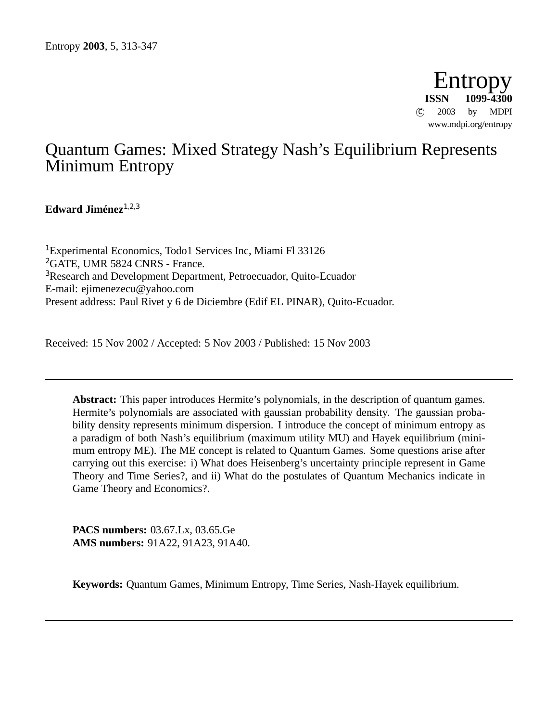**Entropy ISSN 1099-4300** °c 2003 by MDPI www.mdpi.org/entropy

# Quantum Games: Mixed Strategy Nash's Equilibrium Represents Minimum Entropy

**Edward Jiménez**<sup>1</sup>,2,<sup>3</sup>

<sup>1</sup>Experimental Economics, Todo1 Services Inc, Miami Fl 33126 <sup>2</sup>GATE, UMR 5824 CNRS - France. <sup>3</sup>Research and Development Department, Petroecuador, Quito-Ecuador E-mail: ejimenezecu@yahoo.com Present address: Paul Rivet y 6 de Diciembre (Edif EL PINAR), Quito-Ecuador.

Received: 15 Nov 2002 / Accepted: 5 Nov 2003 / Published: 15 Nov 2003

**Abstract:** This paper introduces Hermite's polynomials, in the description of quantum games. Hermite's polynomials are associated with gaussian probability density. The gaussian probability density represents minimum dispersion. I introduce the concept of minimum entropy as a paradigm of both Nash's equilibrium (maximum utility MU) and Hayek equilibrium (minimum entropy ME). The ME concept is related to Quantum Games. Some questions arise after carrying out this exercise: i) What does Heisenberg's uncertainty principle represent in Game Theory and Time Series?, and ii) What do the postulates of Quantum Mechanics indicate in Game Theory and Economics?.

**PACS numbers:** 03.67.Lx, 03.65.Ge **AMS numbers:** 91A22, 91A23, 91A40.

**Keywords:** Quantum Games, Minimum Entropy, Time Series, Nash-Hayek equilibrium.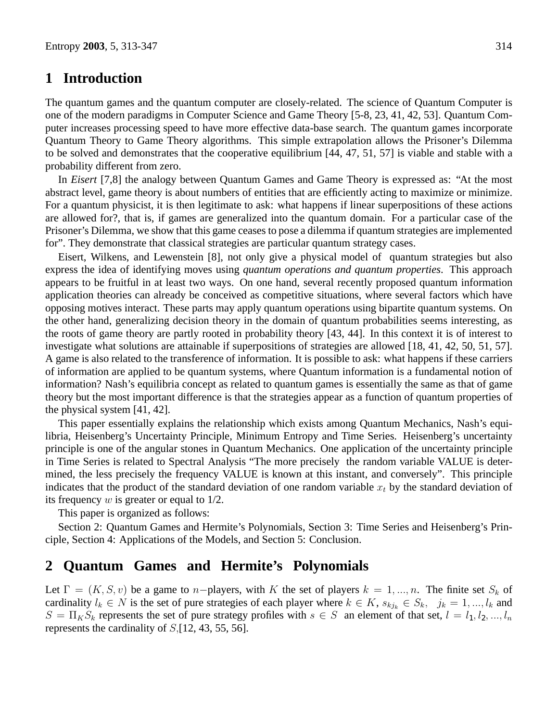# **1 Introduction**

The quantum games and the quantum computer are closely-related. The science of Quantum Computer is one of the modern paradigms in Computer Science and Game Theory [5-8, 23, 41, 42, 53]. Quantum Computer increases processing speed to have more effective data-base search. The quantum games incorporate Quantum Theory to Game Theory algorithms. This simple extrapolation allows the Prisoner's Dilemma to be solved and demonstrates that the cooperative equilibrium [44, 47, 51, 57] is viable and stable with a probability different from zero.

In *Eisert* [7,8] the analogy between Quantum Games and Game Theory is expressed as: "At the most abstract level, game theory is about numbers of entities that are efficiently acting to maximize or minimize. For a quantum physicist, it is then legitimate to ask: what happens if linear superpositions of these actions are allowed for?, that is, if games are generalized into the quantum domain. For a particular case of the Prisoner's Dilemma, we show that this game ceases to pose a dilemma if quantum strategies are implemented for". They demonstrate that classical strategies are particular quantum strategy cases.

Eisert, Wilkens, and Lewenstein [8], not only give a physical model of quantum strategies but also express the idea of identifying moves using *quantum operations and quantum properties*. This approach appears to be fruitful in at least two ways. On one hand, several recently proposed quantum information application theories can already be conceived as competitive situations, where several factors which have opposing motives interact. These parts may apply quantum operations using bipartite quantum systems. On the other hand, generalizing decision theory in the domain of quantum probabilities seems interesting, as the roots of game theory are partly rooted in probability theory [43, 44]. In this context it is of interest to investigate what solutions are attainable if superpositions of strategies are allowed [18, 41, 42, 50, 51, 57]. A game is also related to the transference of information. It is possible to ask: what happens if these carriers of information are applied to be quantum systems, where Quantum information is a fundamental notion of information? Nash's equilibria concept as related to quantum games is essentially the same as that of game theory but the most important difference is that the strategies appear as a function of quantum properties of the physical system [41, 42].

This paper essentially explains the relationship which exists among Quantum Mechanics, Nash's equilibria, Heisenberg's Uncertainty Principle, Minimum Entropy and Time Series. Heisenberg's uncertainty principle is one of the angular stones in Quantum Mechanics. One application of the uncertainty principle in Time Series is related to Spectral Analysis "The more precisely the random variable VALUE is determined, the less precisely the frequency VALUE is known at this instant, and conversely". This principle indicates that the product of the standard deviation of one random variable  $x_t$  by the standard deviation of its frequency  $w$  is greater or equal to  $1/2$ .

This paper is organized as follows:

Section 2: Quantum Games and Hermite's Polynomials, Section 3: Time Series and Heisenberg's Principle, Section 4: Applications of the Models, and Section 5: Conclusion.

## **2 Quantum Games and Hermite's Polynomials**

Let  $\Gamma = (K, S, v)$  be a game to n–players, with K the set of players  $k = 1, ..., n$ . The finite set  $S_k$  of cardinality  $l_k \in N$  is the set of pure strategies of each player where  $k \in K$ ,  $s_{kj_k} \in S_k$ ,  $j_k = 1, ..., l_k$  and  $S = \prod_{K} S_{k}$  represents the set of pure strategy profiles with  $s \in S$  an element of that set,  $l = l_{1}, l_{2}, ..., l_{n}$ represents the cardinality of  $S$ , [12, 43, 55, 56].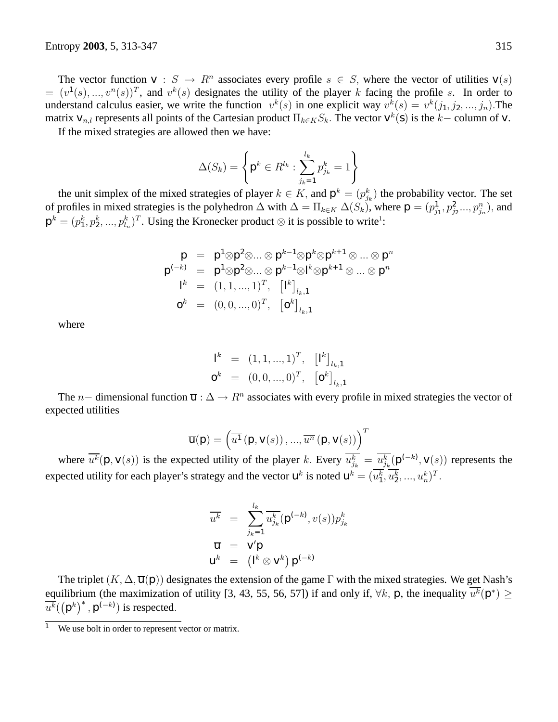The vector function  $\vee : S \to R^n$  associates every profile  $s \in S$ , where the vector of utilities  $\vee(s)$  $= (v^1(s), ..., v^n(s))^T$ , and  $v^k(s)$  designates the utility of the player k facing the profile s. In order to understand calculus easier, we write the function  $v^k(s)$  in one explicit way  $v^k(s) = v^k(j_1, j_2, ..., j_n)$ . The matrix  $\vee_{n,l}$  represents all points of the Cartesian product  $\Pi_{k\in K}S_k$ . The vector  $\vee^k(s)$  is the  $k-$  column of  $\vee$ .

If the mixed strategies are allowed then we have:

$$
\Delta(S_k) = \left\{ \mathsf{p}^k \in R^{l_k} : \sum_{j_k=1}^{l_k} p_{j_k}^k = 1 \right\}
$$

the unit simplex of the mixed strategies of player  $k \in K$ , and  $p^k = (p_{jk}^k)$  the probability vector. The set of profiles in mixed strategies is the polyhedron  $\Delta$  with  $\Delta = \prod_{k \in K} \Delta(S_k)$ , where  $p = (p_{j_1}^1, p_{j_2}^2..., p_{j_n}^n)$ , and  $p^k = (p_1^k, p_2^k, ..., p_{l_n}^k)^T$ . Using the Kronecker product ⊗ it is possible to write<sup>1</sup>:

$$
\begin{array}{rcl}\n\mathsf{p} & = & \mathsf{p}^1 \otimes \mathsf{p}^2 \otimes \ldots \otimes \mathsf{p}^{k-1} \otimes \mathsf{p}^k \otimes \mathsf{p}^{k+1} \otimes \ldots \otimes \mathsf{p}^n \\
\mathsf{p}^{(-k)} & = & \mathsf{p}^1 \otimes \mathsf{p}^2 \otimes \ldots \otimes \mathsf{p}^{k-1} \otimes \mathsf{l}^k \otimes \mathsf{p}^{k+1} \otimes \ldots \otimes \mathsf{p}^n \\
\mathsf{l}^k & = & (1, 1, \ldots, 1)^T, \quad \left[\mathsf{l}^k\right]_{l_k, 1} \\
\mathsf{o}^k & = & (0, 0, \ldots, 0)^T, \quad \left[\mathsf{o}^k\right]_{l_k, 1}\n\end{array}
$$

where

$$
\begin{aligned}\n\mathbf{l}^{k} &= (1, 1, ..., 1)^{T}, \quad \left[\mathbf{l}^{k}\right]_{l_{k}, 1} \\
\mathbf{o}^{k} &= (0, 0, ..., 0)^{T}, \quad \left[\mathbf{o}^{k}\right]_{l_{k}, 1}\n\end{aligned}
$$

The n– dimensional function  $\overline{u}$  :  $\Delta \rightarrow R^n$  associates with every profile in mixed strategies the vector of expected utilities

$$
\overline{\mathbf{u}}(\mathbf{p}) = \left(\overline{u^1}\left(\mathbf{p}, \mathbf{v}(s)\right), ..., \overline{u^n}\left(\mathbf{p}, \mathbf{v}(s)\right)\right)^T
$$

where  $\overline{u^k}(\mathsf{p},\mathsf{v}(s))$  is the expected utility of the player k. Every  $u_{j_k}^k = u_{j_k}^k(\mathsf{p}^{(-k)},\mathsf{v}(s))$  represents the expected utility for each player's strategy and the vector  $u^k$  is noted  $u^k = (u_1^k, u_2^k, ..., u_n^k)^T$ .

$$
\overline{u^k} = \sum_{j_k=1}^{l_k} \overline{u_{j_k}^k} (\mathsf{p}^{(-k)}, v(s)) p_{j_k}^k
$$
  

$$
\overline{\mathsf{u}} = \mathsf{v}' \mathsf{p}
$$
  

$$
\mathsf{u}^k = (\mathsf{l}^k \otimes \mathsf{v}^k) \mathsf{p}^{(-k)}
$$

The triplet  $(K, \Delta, \overline{u}(p))$  designates the extension of the game Γ with the mixed strategies. We get Nash's equilibrium (the maximization of utility [3, 43, 55, 56, 57]) if and only if,  $\forall k$ , p, the inequality  $\overline{u^k}(\mathsf{p}^*) \geq$  $\overline{u^k}(\left(\mathsf{p}^k\right)^*, \mathsf{p}^{(-k)})$  is respected.

We use bolt in order to represent vector or matrix.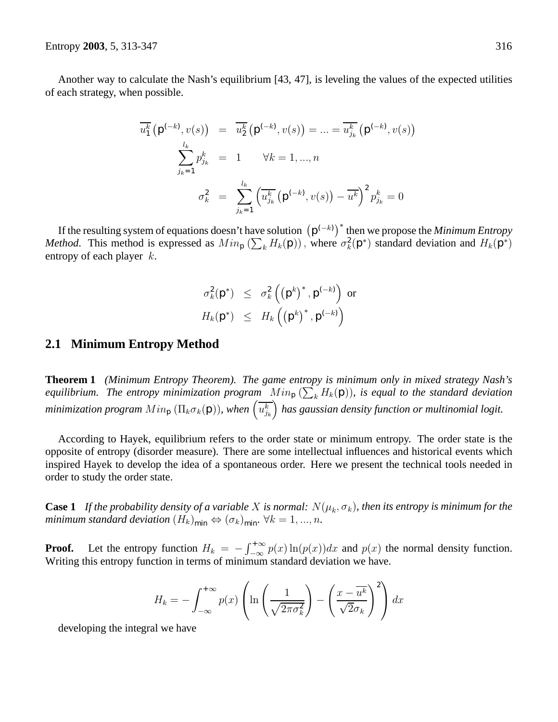Entropy **2003**, 5, 313-347 316

Another way to calculate the Nash's equilibrium [43, 47], is leveling the values of the expected utilities of each strategy, when possible.

$$
\overline{u_1^k} (p^{(-k)}, v(s)) = \overline{u_2^k} (p^{(-k)}, v(s)) = \dots = \overline{u_{j_k}^k} (p^{(-k)}, v(s))
$$

$$
\sum_{j_k=1}^{l_k} p_{j_k}^k = 1 \quad \forall k = 1, ..., n
$$

$$
\sigma_k^2 = \sum_{j_k=1}^{l_k} \left( \overline{u_{j_k}^k} (p^{(-k)}, v(s)) - \overline{u^k} \right)^2 p_{j_k}^k = 0
$$

If the resulting system of equations doesn't have solution  $(p^{(-k)})^*$  then we propose the *Minimum Entropy Method*. This method is expressed as  $Min_p(\sum_k H_k(p))$ , where  $\sigma_k^2(p^*)$  standard deviation and  $H_k(p^*)$ entropy of each player  $k$ .

$$
\begin{array}{lcl} \sigma_k^2({\sf p}^*) & \leq & \sigma_k^2\left(\left({\sf p}^k\right)^*, {\sf p}^{(-k)}\right) \; {\rm or} \\[2mm] H_k({\sf p}^*) & \leq & H_k\left(\left({\sf p}^k\right)^*, {\sf p}^{(-k)}\right) \end{array}
$$

### **2.1 Minimum Entropy Method**

**Theorem 1** *(Minimum Entropy Theorem). The game entropy is minimum only in mixed strategy Nash's equilibrium. The entropy minimization program*  $Min_p(\sum_k H_k(p))$ , is equal to the standard deviation *minimization program*  $Min_p(\Pi_k \sigma_k(p))$ , when  $\left(\overline{u_{j_k}^k}\right)$ ´ *has gaussian density function or multinomial logit.*

According to Hayek, equilibrium refers to the order state or minimum entropy. The order state is the opposite of entropy (disorder measure). There are some intellectual influences and historical events which inspired Hayek to develop the idea of a spontaneous order. Here we present the technical tools needed in order to study the order state.

**Case 1** *If the probability density of a variable* X *is normal:*  $N(\mu_k, \sigma_k)$ *, then its entropy is minimum for the minimum standard deviation*  $(H_k)_{\text{min}} \Leftrightarrow (\sigma_k)_{\text{min}}$ .  $\forall k = 1, ..., n$ .

**Proof.** Let the entropy function  $H_k = -\int_{-\infty}^{+\infty} p(x) \ln(p(x)) dx$  and  $p(x)$  the normal density function. Writing this entropy function in terms of minimum standard deviation we have.

$$
H_k = -\int_{-\infty}^{+\infty} p(x) \left( \ln \left( \frac{1}{\sqrt{2\pi \sigma_k^2}} \right) - \left( \frac{x - \overline{u^k}}{\sqrt{2}\sigma_k} \right)^2 \right) dx
$$

developing the integral we have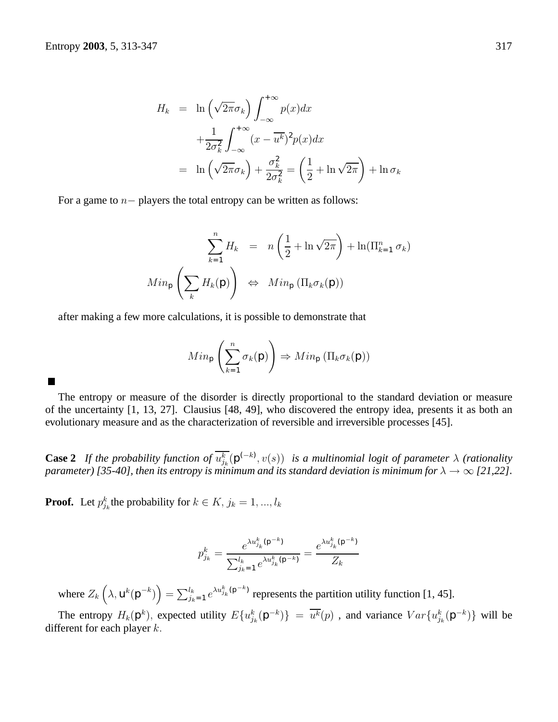$$
H_k = \ln\left(\sqrt{2\pi}\sigma_k\right) \int_{-\infty}^{+\infty} p(x)dx
$$
  
+ 
$$
\frac{1}{2\sigma_k^2} \int_{-\infty}^{+\infty} (x - \overline{u^k})^2 p(x)dx
$$
  
= 
$$
\ln\left(\sqrt{2\pi}\sigma_k\right) + \frac{\sigma_k^2}{2\sigma_k^2} = \left(\frac{1}{2} + \ln\sqrt{2\pi}\right) + \ln \sigma_k
$$

For a game to  $n-$  players the total entropy can be written as follows:

$$
\sum_{k=1}^{n} H_k = n\left(\frac{1}{2} + \ln\sqrt{2\pi}\right) + \ln(\Pi_{k=1}^n \sigma_k)
$$
  

$$
Min_p\left(\sum_k H_k(\mathbf{p})\right) \Leftrightarrow Min_p\left(\Pi_k \sigma_k(\mathbf{p})\right)
$$

after making a few more calculations, it is possible to demonstrate that

$$
Min_{p}\left(\sum_{k=1}^{n} \sigma_{k}(p)\right) \Rightarrow Min_{p}\left(\Pi_{k}\sigma_{k}(p)\right)
$$

The entropy or measure of the disorder is directly proportional to the standard deviation or measure of the uncertainty [1, 13, 27]. Clausius [48, 49], who discovered the entropy idea, presents it as both an evolutionary measure and as the characterization of reversible and irreversible processes [45].

**Case 2** If the probability function of  $u_{j_k}^k(\mathsf{p}^{(-k)}, v(s))$  is a multinomial logit of parameter  $\lambda$  (rationality *parameter)* [35-40], then its entropy is minimum and its standard deviation is minimum for  $\lambda \to \infty$  [21,22].

**Proof.** Let  $p_{j_k}^k$  the probability for  $k \in K$ ,  $j_k = 1, ..., l_k$ 

$$
p_{j_k}^k = \frac{e^{\lambda u_{j_k}^k({\sf p}^{-k})}}{\sum_{j_k=1}^{l_k} e^{\lambda u_{j_k}^k({\sf p}^{-k})}} = \frac{e^{\lambda u_{j_k}^k({\sf p}^{-k})}}{Z_k}
$$

where  $Z_k(\lambda, u^k(p^{-k})) = \sum_{j_k=1}^{l_k} e^{\lambda u_{j_k}^k(p^{-k})}$  represents the partition utility function [1, 45].

The entropy  $H_k(p^k)$ , expected utility  $E\{u_{j_k}^k(p^{-k})\} = \overline{u^k}(p)$ , and variance  $Var\{u_{j_k}^k(p^{-k})\}$  will be different for each player  $k$ .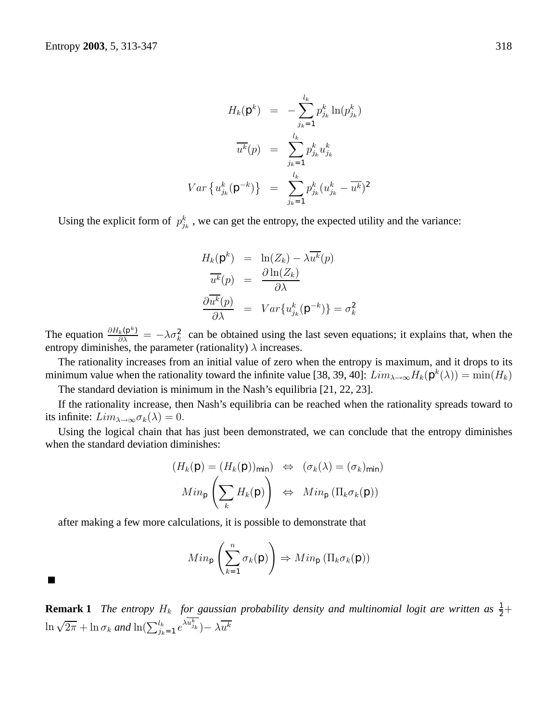г

$$
H_k(\mathsf{p}^k) = -\sum_{j_k=1}^{l_k} p_{j_k}^k \ln(p_{j_k}^k)
$$

$$
\overline{u^k}(p) = \sum_{j_k=1}^{l_k} p_{j_k}^k u_{j_k}^k
$$

$$
Var\{u_{j_k}^k(\mathsf{p}^{-k})\} = \sum_{j_k=1}^{l_k} p_{j_k}^k (u_{j_k}^k - \overline{u^k})^2
$$

Using the explicit form of  $p_{j_k}^k$ , we can get the entropy, the expected utility and the variance:

$$
H_k(\mathbf{p}^k) = \ln(Z_k) - \lambda \overline{u^k}(p)
$$
  

$$
\overline{u^k}(p) = \frac{\partial \ln(Z_k)}{\partial \lambda}
$$
  

$$
\frac{\partial \overline{u^k}(p)}{\partial \lambda} = Var\{u^k_{j_k}(\mathbf{p}^{-k})\} = \sigma_k^2
$$

The equation  $\frac{\partial H_k(p^k)}{\partial \lambda} = -\lambda \sigma_k^2$  can be obtained using the last seven equations; it explains that, when the entropy diminishes, the parameter (rationality)  $\lambda$  increases.

The rationality increases from an initial value of zero when the entropy is maximum, and it drops to its minimum value when the rationality toward the infinite value [38, 39, 40]:  $Lim_{\lambda\to\infty}H_k(p^k(\lambda)) = min(H_k)$ 

The standard deviation is minimum in the Nash's equilibria [21, 22, 23].

If the rationality increase, then Nash's equilibria can be reached when the rationality spreads toward to its infinite:  $Lim_{\lambda\to\infty}\sigma_k(\lambda)=0$ .

Using the logical chain that has just been demonstrated, we can conclude that the entropy diminishes when the standard deviation diminishes:

$$
(H_k(\mathbf{p}) = (H_k(\mathbf{p}))_{\text{min}}) \Leftrightarrow (\sigma_k(\lambda) = (\sigma_k)_{\text{min}})
$$

$$
Min_{\mathbf{p}}\left(\sum_k H_k(\mathbf{p})\right) \Leftrightarrow Min_{\mathbf{p}}\left(\Pi_k \sigma_k(\mathbf{p})\right)
$$

after making a few more calculations, it is possible to demonstrate that

$$
Min_{p}\left(\sum_{k=1}^{n} \sigma_{k}(p)\right) \Rightarrow Min_{p}\left(\Pi_{k}\sigma_{k}(p)\right)
$$

**Remark 1** The entropy  $H_k$  for gaussian probability density and multinomial logit are written as  $\frac{1}{2}+$  $\ln\sqrt{2\pi} + \ln\sigma_k$  and  $\ln(\sum_{j_k=1}^{l_k} e^{\lambda \overline{u_{j_k}^k}}) - \lambda \overline{u^k}$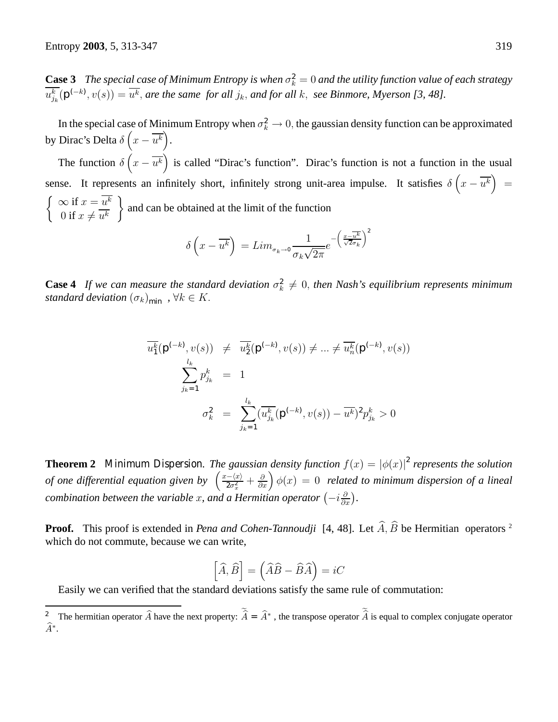**Case 3** The special case of Minimum Entropy is when  $\sigma_k^2 = 0$  and the utility function value of each strategy  $u_{j_k}^k(\mathsf{p}^{(-k)}, v(s)) = \overline{u^k}$ , are the same for all  $j_k$ , and for all  $k$ , see Binmore, Myerson [3, 48].

In the special case of Minimum Entropy when  $\sigma_k^2 \to 0$ , the gaussian density function can be approximated by Dirac's Delta  $\delta\left(x - \overline{u^k}\right)$ .

The function  $\delta\left(x-\overline{u^k}\right)$  is called "Dirac's function". Dirac's function is not a function in the usual sense. It represents an infinitely short, infinitely strong unit-area impulse. It satisfies  $\delta\left(x - \overline{u^k}\right) =$  $\int \infty$  if  $x = \overline{u^k}$ 0 if  $x \neq u^k$  $\mathcal{L}$ and can be obtained at the limit of the function

$$
\delta\left(x - \overline{u^k}\right) = Lim_{\sigma_k \to 0} \frac{1}{\sigma_k \sqrt{2\pi}} e^{-\left(\frac{x - \overline{u^k}}{\sqrt{2}\sigma_k}\right)^2}
$$

**Case 4** If we can measure the standard deviation  $\sigma_k^2 \neq 0$ , then Nash's equilibrium represents minimum *standard deviation*  $(\sigma_k)_{\text{min}}$ ,  $\forall k \in K$ .

$$
\frac{\overline{u_1^k}(p^{(-k)}, v(s))}{\sum_{j_k=1}^{l_k} p_{j_k}^k} = 1
$$
\n
$$
\sigma_k^2 = \sum_{j_k=1}^{\frac{l_k}{k}} (\overline{u_{j_k}^k}(p^{(-k)}, v(s)) - \overline{u^k})^2 p_{j_k}^k > 0
$$

**Theorem 2** Minimum Dispersion. The gaussian density function  $f(x) = |\phi(x)|^2$  represents the solution *of one differential equation given by*  $\left(\frac{x-\langle x\rangle}{2\sigma_x^2}+\frac{\partial}{\partial x}\right)\phi(x)=0$  *related to minimum dispersion of a lineal combination between the variable x, and a Hermitian operator*  $(-i\frac{\partial}{\partial x})$ *.* 

**Proof.** This proof is extended in *Pena and Cohen-Tannoudji* [4, 48]. Let  $\widehat{A}$ ,  $\widehat{B}$  be Hermitian operators <sup>2</sup> which do not commute, because we can write,

$$
\left[\widehat{A}, \widehat{B}\right] = \left(\widehat{A}\widehat{B} - \widehat{B}\widehat{A}\right) = iC
$$

Easily we can verified that the standard deviations satisfy the same rule of commutation:

<sup>&</sup>lt;sup>2</sup> The hermitian operator  $\hat{A}$  have the next property:  $\hat{A} = \hat{A}^*$ , the transpose operator  $\hat{A}$  is equal to complex conjugate operator  $\widehat{A}^*$ .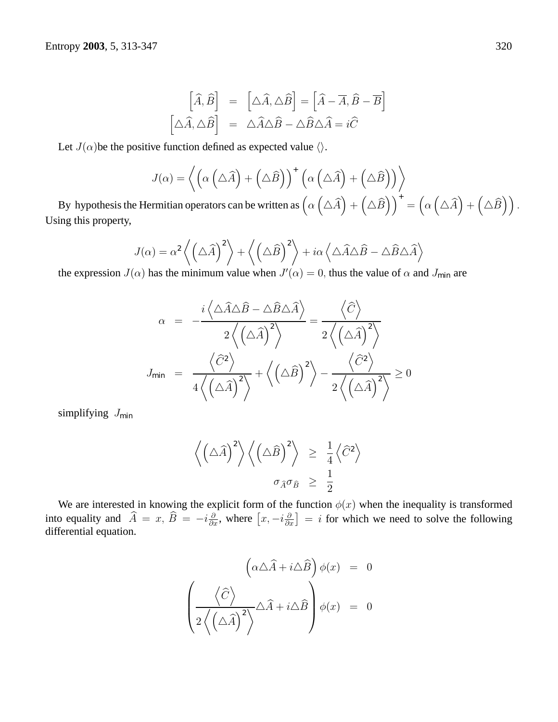$$
\begin{bmatrix} \widehat{A}, \widehat{B} \end{bmatrix} = \begin{bmatrix} \Delta \widehat{A}, \Delta \widehat{B} \end{bmatrix} = \begin{bmatrix} \widehat{A} - \overline{A}, \widehat{B} - \overline{B} \end{bmatrix}
$$

$$
\begin{bmatrix} \Delta \widehat{A}, \Delta \widehat{B} \end{bmatrix} = \Delta \widehat{A} \Delta \widehat{B} - \Delta \widehat{B} \Delta \widehat{A} = i\widehat{C}
$$

Let  $J(\alpha)$ be the positive function defined as expected value  $\langle \rangle$ .

$$
J(\alpha) = \left\langle \left( \alpha \left( \triangle \widehat{A} \right) + \left( \triangle \widehat{B} \right) \right)^+ \left( \alpha \left( \triangle \widehat{A} \right) + \left( \triangle \widehat{B} \right) \right) \right\rangle
$$

By hypothesis the Hermitian operators can be written as  $\left(\alpha\left(\triangle \widehat{A}\right)+\left(\triangle \widehat{B}\right)\right)^+=\left(\alpha\left(\triangle \widehat{A}\right)+\left(\triangle \widehat{B}\right)\right)$ . Using this property,

$$
J(\alpha) = \alpha^2 \left\langle \left(\Delta \widehat{A}\right)^2 \right\rangle + \left\langle \left(\Delta \widehat{B}\right)^2 \right\rangle + i\alpha \left\langle \Delta \widehat{A} \Delta \widehat{B} - \Delta \widehat{B} \Delta \widehat{A} \right\rangle
$$

the expression  $J(\alpha)$  has the minimum value when  $J'(\alpha)=0$ , thus the value of  $\alpha$  and  $J_{\text{min}}$  are

$$
\alpha = -\frac{i\left\langle \Delta \hat{A} \Delta \hat{B} - \Delta \hat{B} \Delta \hat{A} \right\rangle}{2\left\langle \left(\Delta \hat{A}\right)^2 \right\rangle} = \frac{\left\langle \hat{C} \right\rangle}{2\left\langle \left(\Delta \hat{A}\right)^2 \right\rangle}
$$

$$
J_{\min} = \frac{\left\langle \hat{C}^2 \right\rangle}{4\left\langle \left(\Delta \hat{A}\right)^2 \right\rangle} + \left\langle \left(\Delta \hat{B}\right)^2 \right\rangle - \frac{\left\langle \hat{C}^2 \right\rangle}{2\left\langle \left(\Delta \hat{A}\right)^2 \right\rangle} \ge 0
$$

simplifying  $J_{\text{min}}$ 

$$
\left\langle \left(\Delta \widehat{A}\right)^2 \right\rangle \left\langle \left(\Delta \widehat{B}\right)^2 \right\rangle \geq \frac{1}{4} \left\langle \widehat{C}^2 \right\rangle
$$

$$
\sigma_{\widehat{A}} \sigma_{\widehat{B}} \geq \frac{1}{2}
$$

We are interested in knowing the explicit form of the function  $\phi(x)$  when the inequality is transformed into equality and  $\hat{A} = x$ ,  $\hat{B} = -i \frac{\partial}{\partial x}$ , where  $[x, -i \frac{\partial}{\partial x}] = i$  for which we need to solve the following differential equation.

$$
\left(\alpha \Delta \widehat{A} + i \Delta \widehat{B}\right) \phi(x) = 0
$$

$$
\left(\frac{\langle \widehat{C} \rangle}{2\left(\left(\Delta \widehat{A}\right)^2\right)} \Delta \widehat{A} + i \Delta \widehat{B}\right) \phi(x) = 0
$$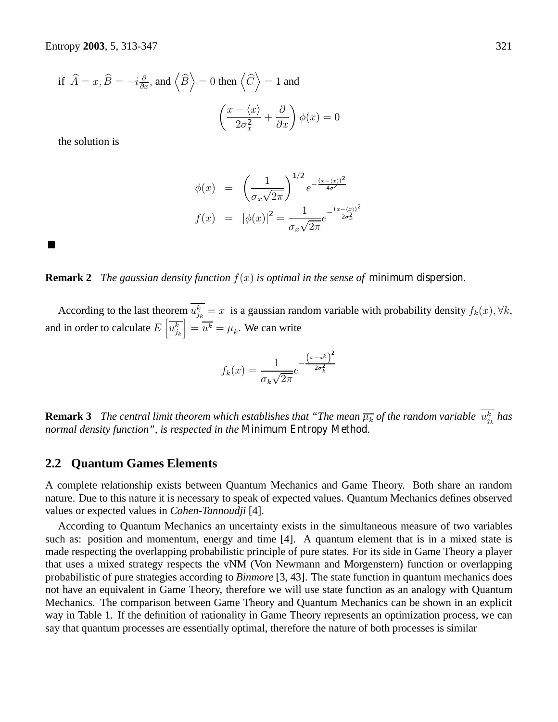$$
\text{if } \hat{A} = x, \hat{B} = -i\frac{\partial}{\partial x}, \text{ and } \left\langle \hat{B} \right\rangle = 0 \text{ then } \left\langle \hat{C} \right\rangle = 1 \text{ and}
$$
\n
$$
\left( \frac{x - \langle x \rangle}{2\sigma_x^2} + \frac{\partial}{\partial x} \right) \phi(x) = 0
$$

the solution is

 $\blacksquare$ 

$$
\phi(x) = \left(\frac{1}{\sigma_x \sqrt{2\pi}}\right)^{1/2} e^{-\frac{(x - \langle x \rangle)^2}{4\sigma^2}}
$$

$$
f(x) = |\phi(x)|^2 = \frac{1}{\sigma_x \sqrt{2\pi}} e^{-\frac{(x - \langle x \rangle)^2}{2\sigma_x^2}}
$$

**Remark 2** *The gaussian density function*  $f(x)$  *is optimal in the sense of* minimum dispersion.

According to the last theorem  $u_{j_k}^k = x$  is a gaussian random variable with probability density  $f_k(x)$ ,  $\forall k$ , and in order to calculate  $E\left[\overline{u_{j_k}^k}\right]$  $\left| \int = \overline{u^k} = \mu_k$ . We can write

$$
f_k(x) = \frac{1}{\sigma_k \sqrt{2\pi}} e^{-\frac{\left(x - \overline{u^k}\right)^2}{2\sigma_k^2}}
$$

**Remark 3** The central limit theorem which establishes that "The mean  $\overline{\mu_k}$  of the random variable  $u_{j_k}^k$  has *normal density function", is respected in the* Minimum Entropy Method*.*

### **2.2 Quantum Games Elements**

A complete relationship exists between Quantum Mechanics and Game Theory. Both share an random nature. Due to this nature it is necessary to speak of expected values. Quantum Mechanics defines observed values or expected values in *Cohen-Tannoudji* [4].

According to Quantum Mechanics an uncertainty exists in the simultaneous measure of two variables such as: position and momentum, energy and time [4]. A quantum element that is in a mixed state is made respecting the overlapping probabilistic principle of pure states. For its side in Game Theory a player that uses a mixed strategy respects the vNM (Von Newmann and Morgenstern) function or overlapping probabilistic of pure strategies according to *Binmore* [3, 43]. The state function in quantum mechanics does not have an equivalent in Game Theory, therefore we will use state function as an analogy with Quantum Mechanics. The comparison between Game Theory and Quantum Mechanics can be shown in an explicit way in Table 1. If the definition of rationality in Game Theory represents an optimization process, we can say that quantum processes are essentially optimal, therefore the nature of both processes is similar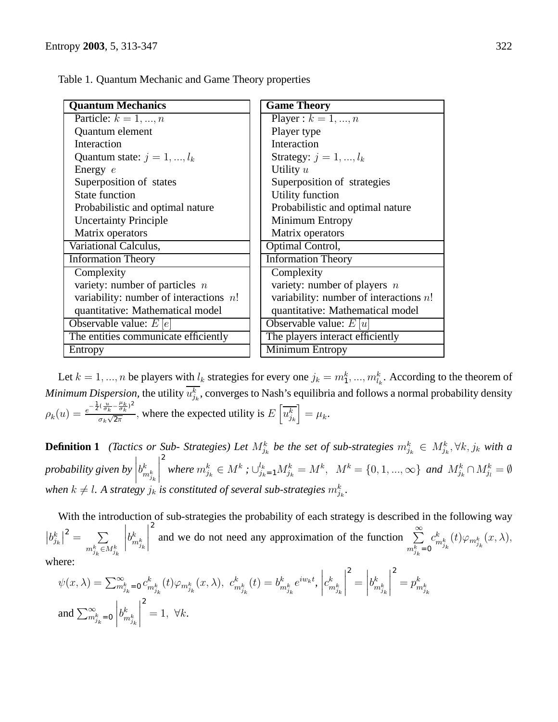| <b>Quantum Mechanics</b>                 | <b>Game Theory</b>                       |
|------------------------------------------|------------------------------------------|
| Particle: $k = 1, , n$                   | Player : $k = 1, , n$                    |
| Quantum element                          | Player type                              |
| Interaction                              | Interaction                              |
| Quantum state: $j = 1, , l_k$            | Strategy: $j = 1, , l_k$                 |
| Energy $e$                               | Utility $u$                              |
| Superposition of states                  | Superposition of strategies              |
| <b>State function</b>                    | <b>Utility function</b>                  |
| Probabilistic and optimal nature         | Probabilistic and optimal nature         |
| <b>Uncertainty Principle</b>             | Minimum Entropy                          |
| Matrix operators                         | Matrix operators                         |
| Variational Calculus,                    | Optimal Control,                         |
| <b>Information Theory</b>                | <b>Information Theory</b>                |
| Complexity                               | Complexity                               |
| variety: number of particles $n$         | variety: number of players $n$           |
| variability: number of interactions $n!$ | variability: number of interactions $n!$ |
| quantitative: Mathematical model         | quantitative: Mathematical model         |
| Observable value: $E[e]$                 | Observable value: $E[u]$                 |
| The entities communicate efficiently     | The players interact efficiently         |
| Entropy                                  | Minimum Entropy                          |

Table 1. Quantum Mechanic and Game Theory properties

Let  $k = 1, ..., n$  be players with  $l_k$  strategies for every one  $j_k = m_1^k, ..., m_{l_k}^k$ . According to the theorem of  $M$ inimum Dispersion, the utility  $u^k_{j_k},$  converges to Nash's equilibria and follows a normal probability density  $\rho_k(u)=\frac{e^{-\frac{1}{2}(\frac{u}{\sigma_k}-\frac{\mu_k}{\sigma_k})^2}}{\sigma_k\sqrt{2\pi}}$  $\frac{(\frac{u}{\sigma_k} - \frac{\mu_k}{\sigma_k})^2}{(\sigma_k \sqrt{2\pi})}$ , where the expected utility is  $E\left[\overline{u_{j_k}^k}\right]$  $= \mu_k.$ 

**Definition 1** *(Tactics or Sub- Strategies) Let*  $M_{j_k}^k$  *be the set of sub-strategies*  $m_{j_k}^k \in M_{j_k}^k$ ,  $\forall k, j_k$  *with a probability given by*  $\begin{array}{|c|c|} \hline \multicolumn{1}{|c|}{3} & \multicolumn{1}{|c|}{4} \multicolumn{1}{|c|}{5} \multicolumn{1}{|c|}{6} \multicolumn{1}{|c|}{5} \multicolumn{1}{|c|}{6} \multicolumn{1}{|c|}{6} \multicolumn{1}{|c|}{6} \multicolumn{1}{|c|}{6} \multicolumn{1}{|c|}{6} \multicolumn{1}{|c|}{6} \multicolumn{1}{|c|}{6} \multicolumn{1}{|c|}{6} \multicolumn{1}{|c|}{6} \multicolumn{1}{|c|}{6} \multicolumn{1}{|c|$  $b_{m^k_{j_k}}^k$  $\begin{array}{|c|c|} \hline \multicolumn{1}{|c|}{3} & \multicolumn{1}{|c|}{4} \multicolumn{1}{|c|}{5} \multicolumn{1}{|c|}{6} \multicolumn{1}{|c|}{6} \multicolumn{1}{|c|}{5} \multicolumn{1}{|c|}{6} \multicolumn{1}{|c|}{6} \multicolumn{1}{|c|}{6} \multicolumn{1}{|c|}{6} \multicolumn{1}{|c|}{6} \multicolumn{1}{|c|}{6} \multicolumn{1}{|c|}{6} \multicolumn{1}{|c|}{6} \multicolumn{1}{|c|}{6} \multicolumn{1}{|c|$ 2 where  $m_{j_k}^k \in M^k$  ;  $\cup_{j_k=1}^l M_{j_k}^k = M^k$ ,  $M^k = \{0, 1, ..., \infty\}$  and  $M_{j_k}^k \cap M_{j_l}^k = \emptyset$ when  $k \neq l$ . A strategy  $j_k$  is constituted of several sub-strategies  $m_{j_k}^k$ .

With the introduction of sub-strategies the probability of each strategy is described in the following way  $\left|b_{j_k}^k\right|^2 = \sum_{i=1}^k$  $m_{j_k}^k$  $\in$  $M_{j_k}^k$  $\begin{array}{|c|c|} \hline \multicolumn{1}{|c|}{3} & \multicolumn{1}{|c|}{4} \multicolumn{1}{|c|}{5} \multicolumn{1}{|c|}{6} \multicolumn{1}{|c|}{5} \multicolumn{1}{|c|}{6} \multicolumn{1}{|c|}{6} \multicolumn{1}{|c|}{5} \multicolumn{1}{|c|}{6} \multicolumn{1}{|c|}{6} \multicolumn{1}{|c|}{6} \multicolumn{1}{|c|}{6} \multicolumn{1}{|c|}{6} \multicolumn{1}{|c|}{6} \multicolumn{1}{|c|}{6} \multicolumn{1}{|c|$  $b_{m^k_{j_k}}^k$ ¯ ¯ ¯ ¯ 2 and we do not need any approximation of the function  $\sum_{n=1}^{\infty}$  $m_{j_k}^k=0$  $c^{k}_{m^{k}_{j_k}}(t) \varphi_{m^{k}_{j_k}}(x,\lambda),$ where:

$$
\psi(x,\lambda) = \sum_{m_{j_k}^k=0}^{\infty} c_{m_{j_k}^k}^k(t)\varphi_{m_{j_k}^k}(x,\lambda), \ c_{m_{j_k}^k}^k(t) = b_{m_{j_k}^k}^k e^{iw_k t}, \left| c_{m_{j_k}^k}^k \right|^2 = \left| b_{m_{j_k}^k}^k \right|^2 = p_{m_{j_k}^k}^k
$$
\nand\n
$$
\sum_{m_{j_k}^k=0}^{\infty} \left| b_{m_{j_k}^k}^k \right|^2 = 1, \ \forall k.
$$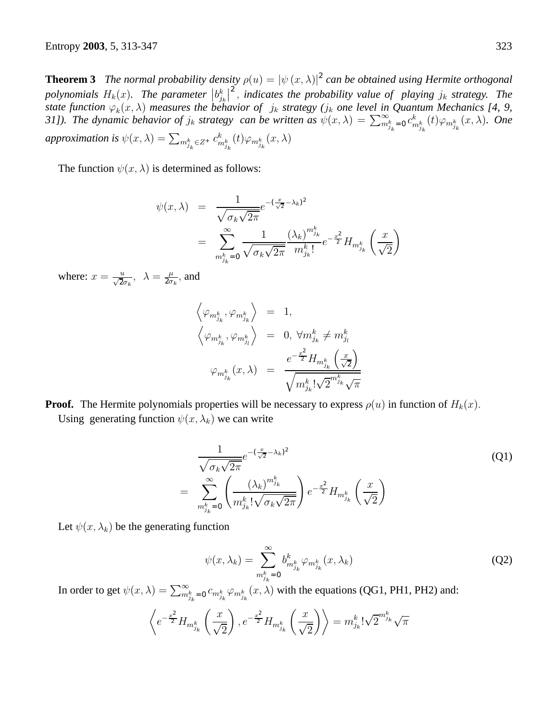**Theorem 3** *The normal probability density*  $\rho(u) = |\psi(x, \lambda)|^2$  *can be obtained using Hermite orthogonal* polynomials  $H_k(x)$ . The parameter  $|b_{j_k}^k|^2$ , indicates the probability value of playing  $j_k$  strategy. The *state function*  $\varphi_k(x, \lambda)$  *measures the behavior of*  $j_k$  *strategy (* $j_k$  *one level in Quantum Mechanics [4, 9, 31]*). The dynamic behavior of  $j_k$  strategy can be written as  $\psi(x, \lambda) = \sum_{m_{j_k}=0}^{\infty} c_{m_{j_k}}^k(t) \varphi_{m_{j_k}}^k(x, \lambda)$ . One *approximation is*  $\psi(x,\lambda) = \sum_{m_{j_k}^k \in Z^+} c^k_{m_{j_k}^k}(t) \varphi_{m_{j_k}^k}(x,\lambda)$ 

The function  $\psi(x, \lambda)$  is determined as follows:

$$
\psi(x,\lambda) = \frac{1}{\sqrt{\sigma_k \sqrt{2\pi}}} e^{-(\frac{x}{\sqrt{2}} - \lambda_k)^2} \n= \sum_{m_{j_k}^k=0}^{\infty} \frac{1}{\sqrt{\sigma_k \sqrt{2\pi}}} \frac{(\lambda_k)^{m_{j_k}^k}}{m_{j_k}^k!} e^{-\frac{x^2}{2}} H_{m_{j_k}^k} \left(\frac{x}{\sqrt{2}}\right)
$$

where:  $x = \frac{u}{\sqrt{2}\sigma_k}$ ,  $\lambda = \frac{\mu}{2\sigma_k}$ , and

$$
\begin{array}{rcl} \left\langle \varphi_{m_{j_k}^k}, \varphi_{m_{j_k}^k} \right\rangle & = & 1, \\ \left\langle \varphi_{m_{j_k}^k}, \varphi_{m_{j_l}^k} \right\rangle & = & 0, \ \forall m_{j_k}^k \neq m_{j_l}^k \\ & & \\ \varphi_{m_{j_k}^k}(x, \lambda) & = & \frac{e^{-\frac{x^2}{2}} H_{m_{j_k}^k}\left(\frac{x}{\sqrt{2}}\right)}{\sqrt{m_{j_k}^k! \sqrt{2}^{m_{j_k}^k} \sqrt{\pi}}} \end{array}
$$

**Proof.** The Hermite polynomials properties will be necessary to express  $\rho(u)$  in function of  $H_k(x)$ . Using generating function  $\psi(x, \lambda_k)$  we can write

$$
\frac{1}{\sqrt{\sigma_k \sqrt{2\pi}}} e^{-(\frac{x}{\sqrt{2}} - \lambda_k)^2} \n= \sum_{m_{j_k}^k=0}^{\infty} \left( \frac{(\lambda_k)^{m_{j_k}^k}}{m_{j_k}^k! \sqrt{\sigma_k \sqrt{2\pi}}} \right) e^{-\frac{x^2}{2}} H_{m_{j_k}^k} \left( \frac{x}{\sqrt{2}} \right)
$$
\n(Q1)

Let  $\psi(x, \lambda_k)$  be the generating function

$$
\psi(x,\lambda_k) = \sum_{m_{j_k}^k=0}^{\infty} b_{m_{j_k}^k}^k \varphi_{m_{j_k}^k}(x,\lambda_k)
$$
\n(Q2)

In order to get  $\psi(x,\lambda) = \sum_{m_{j_k}^k=0}^{\infty} c_{m_{j_k}^k} \varphi_{m_{j_k}^k}(x,\lambda)$  with the equations (QG1, PH1, PH2) and:

$$
\left\langle e^{-\frac{x^2}{2}} H_{m_{j_k}^k} \left( \frac{x}{\sqrt{2}} \right), e^{-\frac{x^2}{2}} H_{m_{j_k}^k} \left( \frac{x}{\sqrt{2}} \right) \right\rangle = m_{j_k}^k! \sqrt{2}^{m_{j_k}^k} \sqrt{\pi}
$$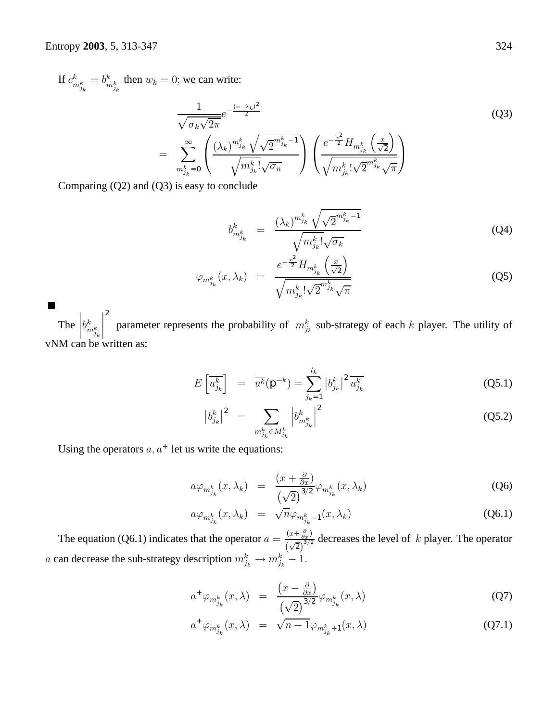If  $c_{m_{j_k}^k}^k = b_{m_{j_k}^k}^k$  then  $w_k = 0$ ; we can write:

$$
\frac{1}{\sqrt{\sigma_k \sqrt{2\pi}}} e^{-\frac{(x-\lambda_k)^2}{2}}
$$
\n
$$
= \sum_{m_{j_k}^k=0}^{\infty} \left( \frac{(\lambda_k)^{m_{j_k}^k} \sqrt{\sqrt{2}^{m_{j_k}^k - 1}}}{\sqrt{m_{j_k}^k! \sqrt{\sigma_n}}} \right) \left( \frac{e^{-\frac{x^2}{2}} H_{m_{j_k}^k} \left( \frac{x}{\sqrt{2}} \right)}{\sqrt{m_{j_k}^k! \sqrt{2}^{m_{j_k}^k} \sqrt{\pi}}} \right)
$$
\n(Q3)

\nis a set to conclude.

Comparing (Q2) and (Q3) is easy to conclude

$$
b_{m_{j_k}^k}^k = \frac{(\lambda_k)^{m_{j_k}^k} \sqrt{\sqrt{2}^{m_{j_k}^k - 1}}}{\sqrt{m_{j_k}^k! \sqrt{\sigma_k}}}
$$
(Q4)

$$
\varphi_{m_{j_k}^k}(x,\lambda_k) = \frac{e^{-\frac{x^2}{2}}H_{m_{j_k}^k}\left(\frac{x}{\sqrt{2}}\right)}{\sqrt{m_{j_k}^k!\sqrt{2}^{m_{j_k}^k}\sqrt{\pi}}}
$$
(Q5)

The ¯ ¯ ¯ ¯  $b_{m^k_{j_k}}^k$ ¯ ¯ ¯ ¯ 2 parameter represents the probability of  $m_{jk}^k$  sub-strategy of each k player. The utility of vNM can be written as:

$$
E\left[\overline{u_{j_k}^k}\right] = \overline{u^k}(\mathsf{p}^{-k}) = \sum_{j_k=1}^{l_k} \left|b_{j_k}^k\right|^2 \overline{u_{j_k}^k}
$$
 (Q5.1)

$$
\left|b_{j_k}^k\right|^2 = \sum_{m_{j_k}^k \in M_{j_k}^k} \left|b_{m_{j_k}^k}^k\right|^2 \tag{Q5.2}
$$

Using the operators  $a, a^+$  let us write the equations:

$$
a\varphi_{m_{j_k}^k}(x,\lambda_k) = \frac{(x+\frac{\partial}{\partial x})}{(\sqrt{2})^{3/2}}\varphi_{m_{j_k}^k}(x,\lambda_k)
$$
\n(Q6)

$$
a\varphi_{m_{j_k}^k}(x,\lambda_k) = \sqrt{n}\varphi_{m_{j_k}^k-1}(x,\lambda_k)
$$
\n(Q6.1)

The equation (Q6.1) indicates that the operator  $a = \frac{(x + \frac{\partial}{\partial x})^2}{(\frac{\partial}{\partial x})^{\frac{3}{2}}}$  $\frac{(x+\frac{1}{\partial x})}{(\sqrt{2})^{3/2}}$  decreases the level of k player. The operator *a* can decrease the sub-strategy description  $m_{j_k}^k \rightarrow m_{j_k}^k - 1$ .

$$
a^+ \varphi_{m_{j_k}^k}(x,\lambda) = \frac{\left(x - \frac{\partial}{\partial x}\right)}{\left(\sqrt{2}\right)^{3/2}} \varphi_{m_{j_k}^k}(x,\lambda) \tag{Q7}
$$

$$
a^+\varphi_{m^k_{j_k}}(x,\lambda) = \sqrt{n+1}\varphi_{m^k_{j_k}+1}(x,\lambda)
$$
 (Q7.1)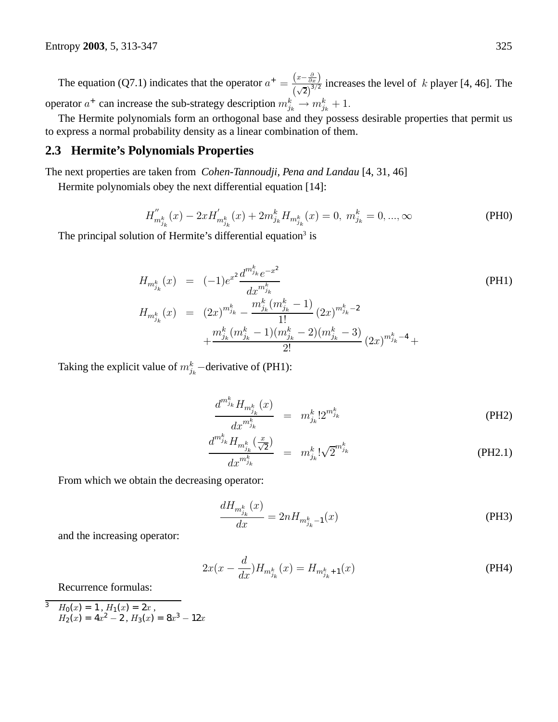The equation (Q7.1) indicates that the operator  $a^+ = \frac{\left(x - \frac{\partial}{\partial x}\right)}{\sqrt{2\pi^3}}$  $\frac{\sqrt{x-\partial x}}{(\sqrt{2})^{3/2}}$  increases the level of k player [4, 46]. The operator  $a^+$  can increase the sub-strategy description  $m_{j_k}^k \to m_{j_k}^k + 1$ .

The Hermite polynomials form an orthogonal base and they possess desirable properties that permit us to express a normal probability density as a linear combination of them.

## **2.3 Hermite's Polynomials Properties**

The next properties are taken from *Cohen-Tannoudji, Pena and Landau* [4, 31, 46]

Hermite polynomials obey the next differential equation [14]:

$$
H''_{m_{j_k}^k}(x) - 2xH'_{m_{j_k}^k}(x) + 2m_{j_k}^k H_{m_{j_k}^k}(x) = 0, \ m_{j_k}^k = 0, ..., \infty
$$
 (PH0)

The principal solution of Hermite's differential equation<sup>3</sup> is

$$
H_{m_{j_k}^k}(x) = (-1)e^{x^2} \frac{d^{m_{j_k}^k}e^{-x^2}}{dx^{m_{j_k}^k}}
$$
  
\n
$$
H_{m_{j_k}^k}(x) = (2x)^{m_{j_k}^k} - \frac{m_{j_k}^k(m_{j_k}^k - 1)}{1!} (2x)^{m_{j_k}^k - 2}
$$
  
\n
$$
+ \frac{m_{j_k}^k(m_{j_k}^k - 1)(m_{j_k}^k - 2)(m_{j_k}^k - 3)}{2!} (2x)^{m_{j_k}^k - 4} +
$$
\n(PH1)

Taking the explicit value of  $m_{j_k}^k$  – derivative of (PH1):

$$
\frac{d^{m_{j_k}^k} H_{m_{j_k}^k}(x)}{dx^{m_{j_k}^k}} = m_{j_k}^k! 2^{m_{j_k}^k}
$$
\n(PH2)

$$
\frac{d^{m_{j_k}^k} H_{m_{j_k}^k}(\frac{x}{\sqrt{2}})}{dx^{m_{j_k}^k}} = m_{j_k}^k! \sqrt{2}^{m_{j_k}^k}
$$
\n(PH2.1)

From which we obtain the decreasing operator:

$$
\frac{dH_{m_{j_k}^k}(x)}{dx} = 2nH_{m_{j_k}^k - 1}(x)
$$
\n(PH3)

and the increasing operator:

$$
2x(x - \frac{d}{dx})H_{m_{j_k}^k}(x) = H_{m_{j_k}^k + 1}(x)
$$
 (PH4)

Recurrence formulas:

 $H_0(x)=1$ ,  $H_1(x)=2x$ ,  $H_2(x)=4x^2 - 2$ ,  $H_3(x)=8x^3 - 12x$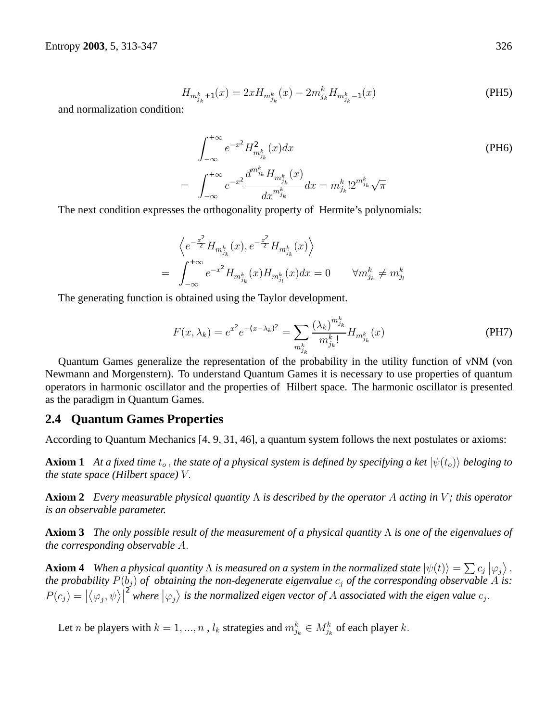$$
H_{m_{j_k}^k+1}(x) = 2xH_{m_{j_k}^k}(x) - 2m_{j_k}^k H_{m_{j_k}^k-1}(x)
$$
 (PH5)

and normalization condition:

$$
\int_{-\infty}^{+\infty} e^{-x^2} H_{m_{j_k}^k}^2(x) dx
$$
\n
$$
= \int_{-\infty}^{+\infty} e^{-x^2} \frac{d^{m_{j_k}^k} H_{m_{j_k}^k}(x)}{dx^{m_{j_k}^k}} dx = m_{j_k}^k 2^{m_{j_k}^k} \sqrt{\pi}
$$
\n(PH6)

The next condition expresses the orthogonality property of Hermite's polynomials:

$$
\left\langle e^{-\frac{x^2}{2}} H_{m_{j_k}^k}(x), e^{-\frac{x^2}{2}} H_{m_{j_k}^k}(x) \right\rangle
$$
  
= 
$$
\int_{-\infty}^{+\infty} e^{-x^2} H_{m_{j_k}^k}(x) H_{m_{j_l}^k}(x) dx = 0 \qquad \forall m_{j_k}^k \neq m_{j_l}^k
$$

The generating function is obtained using the Taylor development.

$$
F(x,\lambda_k) = e^{x^2} e^{-(x-\lambda_k)^2} = \sum_{m_{j_k}^k} \frac{(\lambda_k)^{m_{j_k}^k}}{m_{j_k}^k!} H_{m_{j_k}^k}(x)
$$
 (PH7)

Quantum Games generalize the representation of the probability in the utility function of vNM (von Newmann and Morgenstern). To understand Quantum Games it is necessary to use properties of quantum operators in harmonic oscillator and the properties of Hilbert space. The harmonic oscillator is presented as the paradigm in Quantum Games.

### **2.4 Quantum Games Properties**

According to Quantum Mechanics [4, 9, 31, 46], a quantum system follows the next postulates or axioms:

**Axiom 1** At a fixed time  $t_o$ , the state of a physical system is defined by specifying a ket  $|\psi(t_o)\rangle$  beloging to *the state space (Hilbert space)* V.

**Axiom 2** *Every measurable physical quantity* Λ *is described by the operator* A *acting in* V *; this operator is an observable parameter.*

**Axiom 3** *The only possible result of the measurement of a physical quantity* Λ *is one of the eigenvalues of the corresponding observable* A.

**Axiom 4** *When a physical quantity*  $\Lambda$  *is measured on a system in the normalized state*  $|\psi(t)\rangle = \sum c_j |\varphi_j\rangle$ , *the probability*  $P(b_j)$  *of obtaining the non-degenerate eigenvalue*  $c_j$  *of the corresponding observable*  $\vec{A}$  *is:*  $P(c_j) = |\langle \varphi_j, \psi \rangle|^2$  where  $|\varphi_j\rangle$  is the normalized eigen vector of A associated with the eigen value  $c_j$ .

Let *n* be players with  $k = 1, ..., n$ ,  $l_k$  strategies and  $m_{j_k}^k \in M_{j_k}^k$  of each player  $k$ .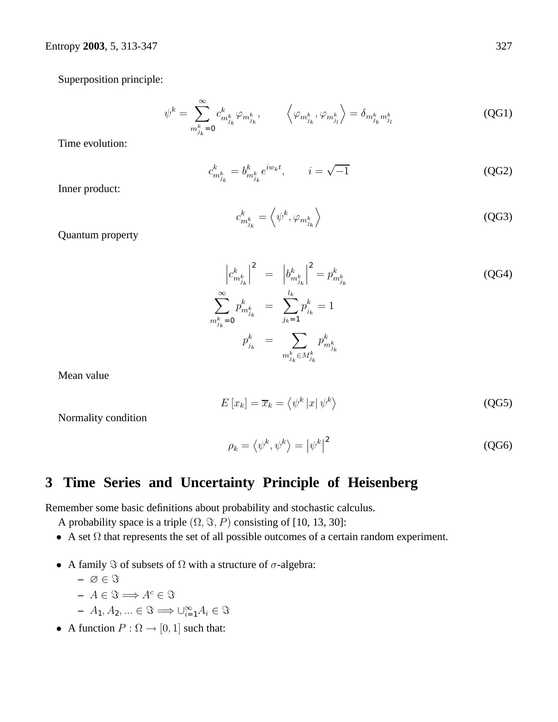Entropy **2003**, 5, 313-347 327

Superposition principle:

$$
\psi^{k} = \sum_{m_{j_{k}}^{k} = 0}^{\infty} c_{m_{j_{k}}^{k}}^{k} \varphi_{m_{j_{k}}^{k}}, \qquad \left\langle \varphi_{m_{j_{k}}^{k}}, \varphi_{m_{j_{l}}^{k}} \right\rangle = \delta_{m_{j_{k}}^{k} m_{j_{l}}^{k}}
$$
(QG1)

Time evolution:

$$
c_{m_{j_k}^k}^k = b_{m_{j_k}^k}^k e^{iw_k t}, \qquad i = \sqrt{-1}
$$
 (QG2)

Inner product:

$$
c_{m_{j_k}^k}^k = \left\langle \psi^k, \varphi_{m_{j_k}^k} \right\rangle \tag{QG3}
$$

Quantum property

$$
\left| c_{m_{j_k}^k}^k \right|^2 = \left| b_{m_{j_k}^k}^k \right|^2 = p_{m_{j_k}^k}^k
$$
\n
$$
\sum_{m_{j_k}^k=0}^{\infty} p_{m_{j_k}^k}^k = \sum_{j_k=1}^k p_{j_k}^k = 1
$$
\n
$$
p_{j_k}^k = \sum_{m_{j_k}^k \in M_{j_k}^k} p_{m_{j_k}^k}^k
$$
\n(QG4)

Mean value

$$
E\left[x_k\right] = \overline{x}_k = \left\langle \psi^k \left|x\right| \psi^k \right\rangle \tag{QG5}
$$

Normality condition

$$
\rho_k = \langle \psi^k, \psi^k \rangle = |\psi^k|^2 \tag{QG6}
$$

# **3 Time Series and Uncertainty Principle of Heisenberg**

Remember some basic definitions about probability and stochastic calculus.

- A probability space is a triple  $(\Omega, \Im, P)$  consisting of [10, 13, 30]:
- A set  $\Omega$  that represents the set of all possible outcomes of a certain random experiment.
- A family  $\Im$  of subsets of  $\Omega$  with a structure of  $\sigma$ -algebra:

$$
- \varnothing \in \mathfrak{F}
$$
  
-  $A \in \mathfrak{F} \Longrightarrow A^c \in \mathfrak{F}$   
-  $A_1, A_2, ... \in \mathfrak{F} \Longrightarrow \bigcup_{i=1}^{\infty} A_i \in \mathfrak{F}$ 

• A function  $P : \Omega \to [0, 1]$  such that: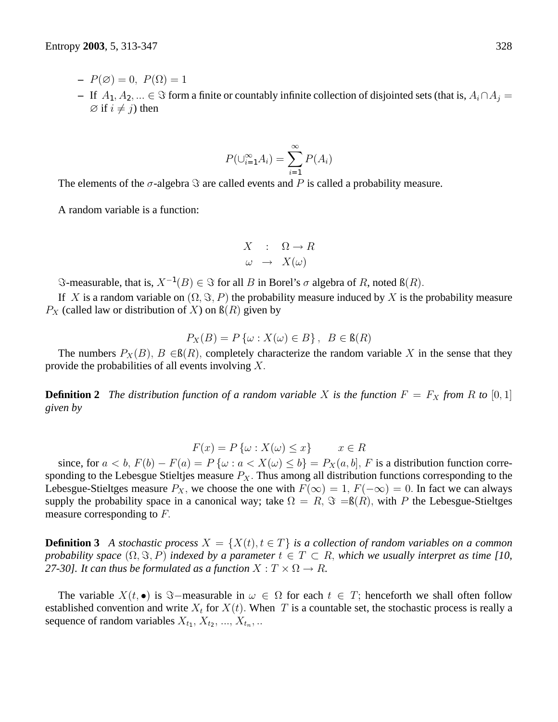$-P(\emptyset)=0, P(\Omega)=1$ 

**–** If  $A_1, A_2, ... \in \Im$  form a finite or countably infinite collection of disjointed sets (that is,  $A_i \cap A_j =$  $\varnothing$  if  $i \neq j$ ) then

$$
P(\cup_{i=1}^{\infty} A_i) = \sum_{i=1}^{\infty} P(A_i)
$$

The elements of the  $\sigma$ -algebra  $\Im$  are called events and P is called a probability measure.

A random variable is a function:

$$
\begin{array}{rcl} X & : & \Omega \to R \\ \omega & \to & X(\omega) \end{array}
$$

 $\Im$ -measurable, that is,  $X^{-1}(B) \in \Im$  for all B in Borel's  $\sigma$  algebra of R, noted  $\mathfrak{B}(R)$ .

If X is a random variable on  $(\Omega, \Im, P)$  the probability measure induced by X is the probability measure  $P_X$  (called law or distribution of X) on  $\beta(R)$  given by

$$
P_X(B) = P\{\omega : X(\omega) \in B\}, \ B \in B(R)
$$

The numbers  $P_X(B)$ ,  $B \in B(R)$ , completely characterize the random variable X in the sense that they provide the probabilities of all events involving X.

**Definition 2** The distribution function of a random variable X is the function  $F = F_X$  from R to [0, 1] *given by*

$$
F(x) = P\left\{\omega : X(\omega) \le x\right\} \qquad x \in R
$$

since, for  $a < b$ ,  $F(b) - F(a) = P\{\omega : a < X(\omega) \le b\} = P_X(a, b]$ , F is a distribution function corresponding to the Lebesgue Stieltjes measure  $P_X$ . Thus among all distribution functions corresponding to the Lebesgue-Stieltges measure  $P_X$ , we choose the one with  $F(\infty) = 1$ ,  $F(-\infty) = 0$ . In fact we can always supply the probability space in a canonical way; take  $\Omega = R$ ,  $\Im = \beta(R)$ , with P the Lebesgue-Stieltges measure corresponding to F.

**Definition 3** A stochastic process  $X = \{X(t), t \in T\}$  is a collection of random variables on a common *probability space*  $(\Omega, \Im, P)$  *indexed by a parameter*  $t \in T \subset R$ *, which we usually interpret as time* [10, *27-30]. It can thus be formulated as a function*  $X: T \times \Omega \rightarrow R$ .

The variable  $X(t, \bullet)$  is  $\Im$ -measurable in  $\omega \in \Omega$  for each  $t \in T$ ; henceforth we shall often follow established convention and write  $X_t$  for  $X(t)$ . When T is a countable set, the stochastic process is really a sequence of random variables  $X_{t_1}, X_{t_2}, ..., X_{t_n}$ , ...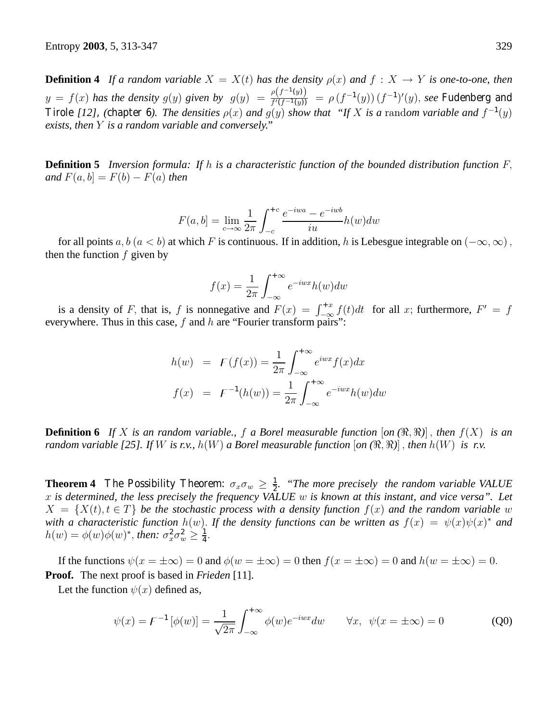**Definition 4** *If a random variable*  $X = X(t)$  *has the density*  $\rho(x)$  *and*  $f : X \rightarrow Y$  *is one-to-one, then*  $y = f(x)$  *has the density g(y) given by*  $g(y) = \frac{\rho(f^{-1}(y))}{f'(f^{-1}(y))} = \rho(f^{-1}(y))(f^{-1})'(y)$ *, see* Fudenberg and Tirole [12], *(chapter 6). The densities*  $\rho(x)$  *and*  $g(y)$  *show that "If* X *is a* random variable and  $f^{-1}(y)$ *exists, then* Y *is a random variable and conversely."*

**Definition 5** *Inversion formula: If h is a characteristic function of the bounded distribution function* F, *and*  $F(a, b) = F(b) - F(a)$  *then* 

$$
F(a,b) = \lim_{c \to \infty} \frac{1}{2\pi} \int_{-c}^{+c} \frac{e^{-iwa} - e^{-iwb}}{iu} h(w) dw
$$

for all points  $a, b$   $(a < b)$  at which F is continuous. If in addition, h is Lebesgue integrable on  $(-\infty, \infty)$ , then the function  $f$  given by

$$
f(x) = \frac{1}{2\pi} \int_{-\infty}^{+\infty} e^{-iwx} h(w) dw
$$

is a density of F, that is, f is nonnegative and  $F(x) = \int_{-\infty}^{+x} f(t)dt$  for all x; furthermore,  $F' = f$ everywhere. Thus in this case,  $f$  and  $h$  are "Fourier transform pairs":

$$
h(w) = F(f(x)) = \frac{1}{2\pi} \int_{-\infty}^{+\infty} e^{iwx} f(x) dx
$$

$$
f(x) = F^{-1}(h(w)) = \frac{1}{2\pi} \int_{-\infty}^{+\infty} e^{-iwx} h(w) dw
$$

**Definition 6** If X is an random variable., f a Borel measurable function  $[on (\mathcal{R}, \mathcal{R})]$ , then  $f(X)$  is an *random variable [25]. If* W *is r.v.,*  $h(W)$  *a Borel measurable function* [*on*  $(\Re, \Re)$ ], *then*  $h(W)$  *is r.v.* 

**Theorem 4** The Possibility Theorem:  $\sigma_x \sigma_w \geq \frac{1}{2}$  *. "The more precisely the random variable VALUE* x *is determined, the less precisely the frequency VALUE* w *is known at this instant, and vice versa". Let*  $X = \{X(t), t \in T\}$  be the stochastic process with a density function  $f(x)$  and the random variable w *with a characteristic function*  $h(w)$ . If the density functions can be written as  $f(x) = \psi(x)\psi(x)^*$  and  $h(w) = \phi(w)\phi(w)^*$ , then:  $\sigma_x^2 \sigma_w^2 \geq \frac{1}{4}$ .

If the functions  $\psi(x = \pm \infty) = 0$  and  $\phi(w = \pm \infty) = 0$  then  $f(x = \pm \infty) = 0$  and  $h(w = \pm \infty) = 0$ . **Proof.** The next proof is based in *Frieden* [11].

Let the function  $\psi(x)$  defined as,

$$
\psi(x) = F^{-1} [\phi(w)] = \frac{1}{\sqrt{2\pi}} \int_{-\infty}^{+\infty} \phi(w) e^{-iwx} dw \qquad \forall x, \ \psi(x = \pm \infty) = 0 \tag{Q0}
$$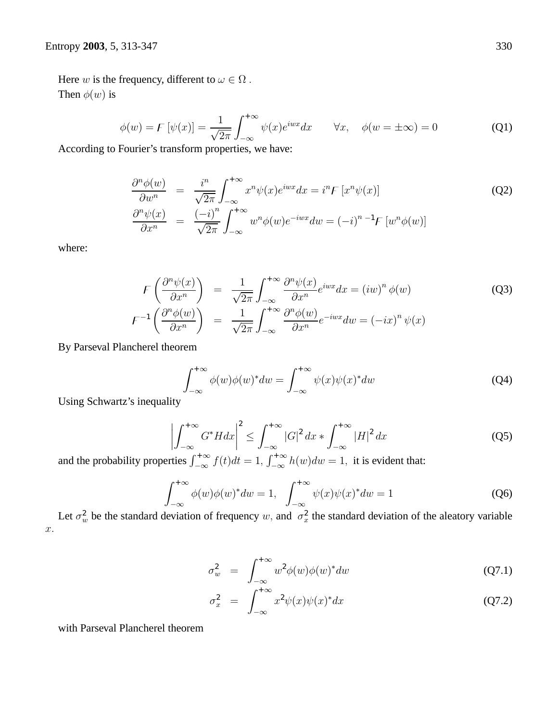Here w is the frequency, different to  $\omega \in \Omega$ . Then  $\phi(w)$  is

$$
\phi(w) = F[\psi(x)] = \frac{1}{\sqrt{2\pi}} \int_{-\infty}^{+\infty} \psi(x)e^{iwx} dx \qquad \forall x, \quad \phi(w = \pm \infty) = 0
$$
 (Q1)

According to Fourier's transform properties, we have:

$$
\frac{\partial^n \phi(w)}{\partial w^n} = \frac{i^n}{\sqrt{2\pi}} \int_{-\infty}^{+\infty} x^n \psi(x) e^{iwx} dx = i^n F [x^n \psi(x)]
$$
\n
$$
\frac{\partial^n \psi(x)}{\partial x^n} = \frac{(-i)^n}{\sqrt{2\pi}} \int_{-\infty}^{+\infty} w^n \phi(w) e^{-iwx} dw = (-i)^{n-1} F [w^n \phi(w)]
$$
\n(Q2)

where:

$$
F\left(\frac{\partial^n \psi(x)}{\partial x^n}\right) = \frac{1}{\sqrt{2\pi}} \int_{-\infty}^{+\infty} \frac{\partial^n \psi(x)}{\partial x^n} e^{iwx} dx = (iw)^n \phi(w)
$$
(Q3)  

$$
F^{-1}\left(\frac{\partial^n \phi(w)}{\partial x^n}\right) = \frac{1}{\sqrt{2\pi}} \int_{-\infty}^{+\infty} \frac{\partial^n \phi(w)}{\partial x^n} e^{-iwx} dw = (-ix)^n \psi(x)
$$

By Parseval Plancherel theorem

$$
\int_{-\infty}^{+\infty} \phi(w)\phi(w)^* dw = \int_{-\infty}^{+\infty} \psi(x)\psi(x)^* dw \tag{Q4}
$$

Using Schwartz's inequality

$$
\left| \int_{-\infty}^{+\infty} G^* H dx \right|^2 \le \int_{-\infty}^{+\infty} |G|^2 dx * \int_{-\infty}^{+\infty} |H|^2 dx \tag{Q5}
$$

and the probability properties  $\int_{-\infty}^{+\infty} f(t)dt = 1$ ,  $\int_{-\infty}^{+\infty} h(w)dw = 1$ , it is evident that:

$$
\int_{-\infty}^{+\infty} \phi(w)\phi(w)^* dw = 1, \quad \int_{-\infty}^{+\infty} \psi(x)\psi(x)^* dw = 1
$$
 (Q6)

Let  $\sigma_w^2$  be the standard deviation of frequency w, and  $\sigma_x^2$  the standard deviation of the aleatory variable x.

$$
\sigma_w^2 = \int_{-\infty}^{+\infty} w^2 \phi(w) \phi(w)^* dw \tag{Q7.1}
$$

$$
\sigma_x^2 = \int_{-\infty}^{+\infty} x^2 \psi(x) \psi(x)^* dx \tag{Q7.2}
$$

with Parseval Plancherel theorem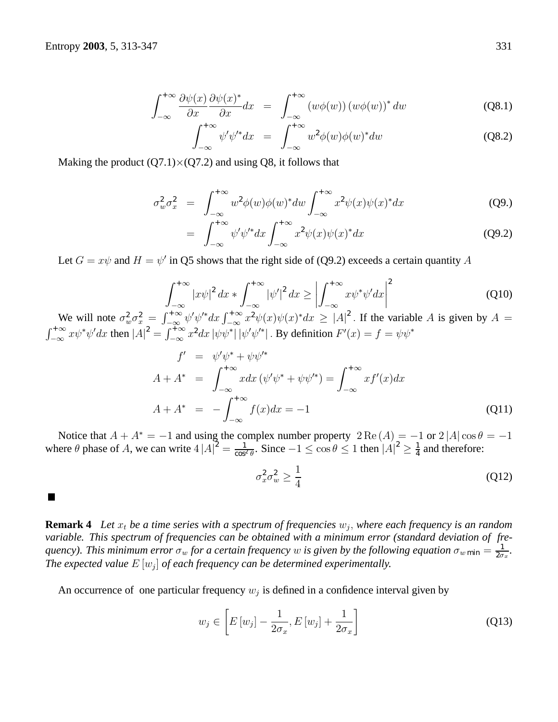$$
\int_{-\infty}^{+\infty} \frac{\partial \psi(x)}{\partial x} \frac{\partial \psi(x)^*}{\partial x} dx = \int_{-\infty}^{+\infty} \left( w\phi(w) \right) \left( w\phi(w) \right)^* dw \tag{Q8.1}
$$

$$
\int_{-\infty}^{+\infty} \psi' \psi'^* dx = \int_{-\infty}^{+\infty} w^2 \phi(w) \phi(w)^* dw \tag{Q8.2}
$$

Making the product  $(Q7.1) \times (Q7.2)$  and using Q8, it follows that

$$
\sigma_w^2 \sigma_x^2 = \int_{-\infty}^{+\infty} w^2 \phi(w) \phi(w)^* dw \int_{-\infty}^{+\infty} x^2 \psi(x) \psi(x)^* dx \tag{Q9.}
$$

$$
= \int_{-\infty}^{+\infty} \psi' \psi'^* dx \int_{-\infty}^{+\infty} x^2 \psi(x) \psi(x)^* dx \tag{Q9.2}
$$

Let  $G = x\psi$  and  $H = \psi'$  in Q5 shows that the right side of (Q9.2) exceeds a certain quantity A

$$
\int_{-\infty}^{+\infty} |x\psi|^2 dx * \int_{-\infty}^{+\infty} |\psi'|^2 dx \ge \left| \int_{-\infty}^{+\infty} x\psi^* \psi' dx \right|^2
$$
(Q10)

We will note  $\sigma_w^2 \sigma_x^2 = \int_{-\infty}^{+\infty} \psi' \psi'^* dx \int_{-\infty}^{+\infty} x^2 \psi(x) \psi(x)^* dx \ge |A|^2$ . If the variable A is given by  $A = \infty$  $\int_{-\infty}^{+\infty} x\psi^* \psi' dx$  then  $|A|^2 = \int_{-\infty}^{+\infty} x^2 dx |\psi \psi^*| |\psi' \psi'^*|$ . By definition  $F'(x) = f = \psi \psi^*$ 

$$
f' = \psi'\psi^* + \psi\psi'^*
$$
  
\n
$$
A + A^* = \int_{-\infty}^{+\infty} x dx (\psi'\psi^* + \psi\psi'^*) = \int_{-\infty}^{+\infty} x f'(x) dx
$$
  
\n
$$
A + A^* = -\int_{-\infty}^{+\infty} f(x) dx = -1
$$
\n(Q11)

Notice that  $A + A^* = -1$  and using the complex number property  $2 \text{Re} (A) = -1$  or  $2 |A| \cos \theta = -1$ where  $\theta$  phase of A, we can write  $4|A|^2 = \frac{1}{\cos^2 \theta}$ . Since  $-1 \le \cos \theta \le 1$  then  $|A|^2 \ge \frac{1}{4}$  and therefore:

$$
\sigma_x^2 \sigma_w^2 \ge \frac{1}{4} \tag{Q12}
$$

 $\blacksquare$ 

**Remark 4** *Let*  $x_t$  *be a time series with a spectrum of frequencies*  $w_j$ , *where each frequency is an random variable. This spectrum of frequencies can be obtained with a minimum error (standard deviation of fre* $quency$ ). This minimum error  $\sigma_w$  for a certain frequency  $w$  is given by the following equation  $\sigma_{w \text{min}} = \frac{1}{2\sigma_x}$ . *The expected value*  $E[w_i]$  *of each frequency can be determined experimentally.* 

An occurrence of one particular frequency  $w_j$  is defined in a confidence interval given by

$$
w_j \in \left[ E\left[w_j\right] - \frac{1}{2\sigma_x}, E\left[w_j\right] + \frac{1}{2\sigma_x} \right] \tag{Q13}
$$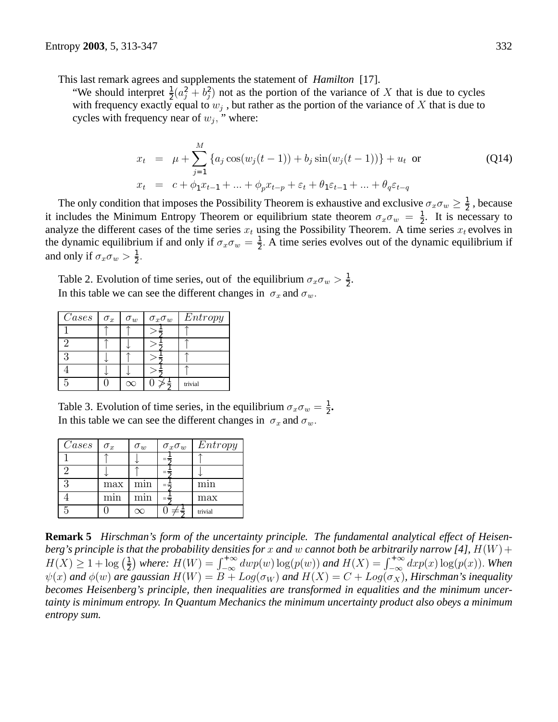This last remark agrees and supplements the statement of *Hamilton* [17].

"We should interpret  $\frac{1}{2}(a_j^2 + b_j^2)$  not as the portion of the variance of X that is due to cycles with frequency exactly equal to  $w_j$ , but rather as the portion of the variance of X that is due to cycles with frequency near of  $w_j$ , " where:

$$
x_{t} = \mu + \sum_{j=1}^{M} \{ a_{j} \cos(w_{j}(t-1)) + b_{j} \sin(w_{j}(t-1)) \} + u_{t} \text{ or}
$$
\n
$$
x_{t} = c + \phi_{1} x_{t-1} + ... + \phi_{p} x_{t-p} + \varepsilon_{t} + \theta_{1} \varepsilon_{t-1} + ... + \theta_{q} \varepsilon_{t-q}
$$
\n(Q14)

The only condition that imposes the Possibility Theorem is exhaustive and exclusive  $\sigma_x \sigma_w \ge \frac{1}{2}$ , because it includes the Minimum Entropy Theorem or equilibrium state theorem  $\sigma_x \sigma_w = \frac{1}{2}$ . It is necessary to analyze the different cases of the time series  $x_t$  using the Possibility Theorem. A time series  $x_t$  evolves in the dynamic equilibrium if and only if  $\sigma_x \sigma_w = \frac{1}{2}$ . A time series evolves out of the dynamic equilibrium if and only if  $\sigma_x \sigma_w > \frac{1}{2}$ .

Table 2. Evolution of time series, out of the equilibrium  $\sigma_x \sigma_w > \frac{1}{2}$ . In this table we can see the different changes in  $\sigma_x$  and  $\sigma_w$ .

| $\mathit{Cases}$ | $\sigma_x$ | $\sigma_w$ | $\sigma_x\sigma_w$ | Entropy |
|------------------|------------|------------|--------------------|---------|
|                  |            |            |                    |         |
|                  |            |            |                    |         |
|                  |            |            |                    |         |
|                  |            |            |                    |         |
|                  |            | $\infty$   |                    | trivial |

Table 3. Evolution of time series, in the equilibrium  $\sigma_x \sigma_w = \frac{1}{2}$ . In this table we can see the different changes in  $\sigma_x$  and  $\sigma_w$ .

| $\mathcal{C}ases$           | $\sigma_x$ | $\sigma_w$ | $\sigma_x\sigma_w$ | Entropy |
|-----------------------------|------------|------------|--------------------|---------|
|                             |            |            |                    |         |
| $\mathcal{D}_{\mathcal{L}}$ |            |            |                    |         |
| 3                           | max        | min        |                    | min     |
|                             | min        | min        |                    | max     |
|                             |            | $\infty$   |                    | trivial |

**Remark 5** *Hirschman's form of the uncertainty principle. The fundamental analytical effect of Heisenberg's principle is that the probability densities for* x and w cannot both be arbitrarily narrow [4],  $H(W)$  +  $H(X) \geq 1 + \log(\frac{1}{2})$  where:  $H(W) = \int_{-\infty}^{+\infty} dw p(w) \log(p(w))$  and  $H(X) = \int_{-\infty}^{+\infty} dx p(x) \log(p(x))$ . When  $\psi(x)$  *and*  $\phi(w)$  *are gaussian*  $H(W) = B + Log(\sigma_W)$  *and*  $H(X) = C + Log(\sigma_X)$ *, Hirschman's inequality becomes Heisenberg's principle, then inequalities are transformed in equalities and the minimum uncertainty is minimum entropy. In Quantum Mechanics the minimum uncertainty product also obeys a minimum entropy sum.*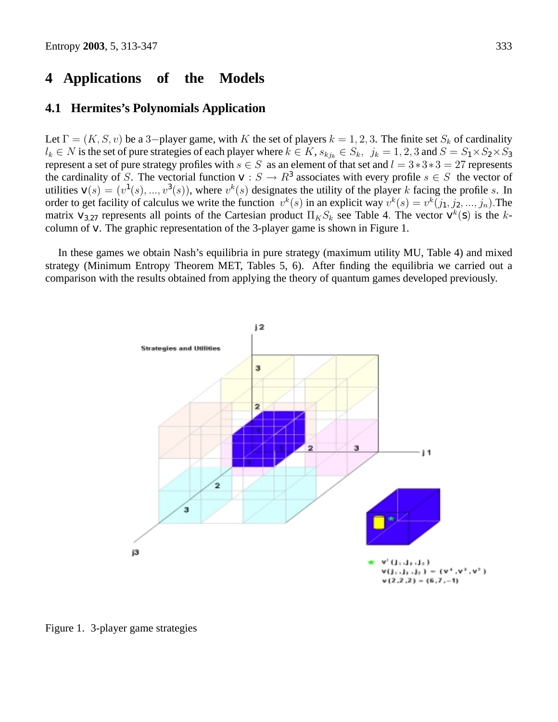# **4 Applications of the Models**

### **4.1 Hermites's Polynomials Application**

Let  $\Gamma = (K, S, v)$  be a 3-player game, with K the set of players  $k = 1, 2, 3$ . The finite set  $S_k$  of cardinality  $l_k \in N$  is the set of pure strategies of each player where  $k \in K$ ,  $s_{kj_k} \in S_k$ ,  $j_k = 1, 2, 3$  and  $S = S_1 \times S_2 \times S_3$ represent a set of pure strategy profiles with  $s \in S$  as an element of that set and  $l = 3*3*3 = 27$  represents the cardinality of S. The vectorial function  $\vee$  :  $S \to R^3$  associates with every profile  $s \in S$  the vector of utilities  $v(s)=(v^1(s),...,v^3(s))$ , where  $v^k(s)$  designates the utility of the player k facing the profile s. In order to get facility of calculus we write the function  $v^k(s)$  in an explicit way  $v^k(s) = v^k(j_1, j_2, ..., j_n)$ . The matrix  $V_{3,27}$  represents all points of the Cartesian product  $\Pi_K S_k$  see Table 4. The vector  $V^k(S)$  is the kcolumn of v. The graphic representation of the 3-player game is shown in Figure 1.

In these games we obtain Nash's equilibria in pure strategy (maximum utility MU, Table 4) and mixed strategy (Minimum Entropy Theorem MET, Tables 5, 6). After finding the equilibria we carried out a comparison with the results obtained from applying the theory of quantum games developed previously.



Figure 1. 3-player game strategies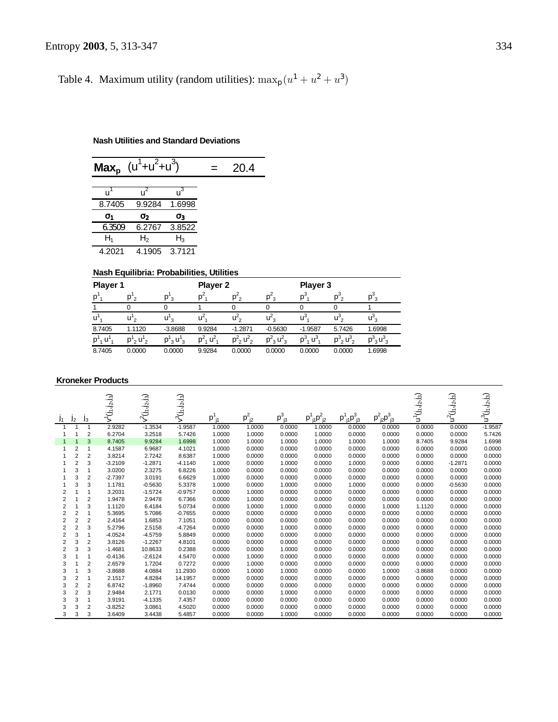# Table 4. Maximum utility (random utilities):  $\max_{p}(u^1 + u^2 + u^3)$

**Nash Utilities and Standard Deviations**

| $Max_{p}$  | $(u1+u2+u3)$   | 20.4           |  |
|------------|----------------|----------------|--|
|            |                |                |  |
| $U^1$      |                | $\mathsf{u}^3$ |  |
| 8.7405     | 9.9284         | 1.6998         |  |
| $\sigma_1$ | $\sigma_2$     | σ3             |  |
| 6.3509     | 6.2767         | 3.8522         |  |
| H,         | H <sub>2</sub> | ${\sf H}_3$    |  |
| 4.2021     | 4.1905 3.7121  |                |  |
|            |                |                |  |

### **Nash Equilibria: Probabilities, Utilities**

| Player 1          |                                    |                                   | Player 2    |                          |                   |                | <b>Player 3</b>                  |                                |  |  |
|-------------------|------------------------------------|-----------------------------------|-------------|--------------------------|-------------------|----------------|----------------------------------|--------------------------------|--|--|
| D                 | D o                                | р' <sub>з</sub>                   | ŋ           | ה־D                      | p-,               | $p^{\circ}$    | D                                |                                |  |  |
|                   |                                    |                                   |             | ი                        |                   |                |                                  |                                |  |  |
| u                 | $\mathsf{u}_2$                     | u<br>$\mathbf{z}$                 | ีน          | $U^2$                    | น ิ <sub>้ว</sub> | u              | u                                | u 3                            |  |  |
| 8.7405            | 1.1120                             | $-3.8688$                         | 9.9284      | $-1.2871$                | $-0.5630$         | $-1.9587$      | 5.7426                           | 1.6998                         |  |  |
| $p^{1}$ , $u^{1}$ | $\mathsf{p}'\circ\mathsf{u}'\circ$ | $p'$ <sub>3</sub> U' <sub>3</sub> | $u^2$<br>p٤ | ້າ U <sup>2</sup> າ<br>Ď | $p_3'$ $u_3'$     | $p^3$<br>$u^3$ | $p^3$<br>$3\overline{0}$ , $u^3$ | ິ <sub>າ</sub> ປິ <sub>າ</sub> |  |  |
| 8.7405            | 0.0000                             | 0.0000                            | 9.9284      | 0.0000                   | 0.0000            | 0.0000         | 0.0000                           | 1.6998                         |  |  |

### **Kroneker Products**

|                |                |                | $(j_1, j_2, j_3)$ | $v^2(i_1, i_2, i_3)$ | $v^3(j_1,j_2,j_3)$ |        |            |            |                                    |                     |                      | $(j_1, j_2, j_3)$ | $u^2(i_1, i_2, i_3)$ | $\vert u^3 (j_1, j_2, j_3)$ |
|----------------|----------------|----------------|-------------------|----------------------|--------------------|--------|------------|------------|------------------------------------|---------------------|----------------------|-------------------|----------------------|-----------------------------|
| J <sub>1</sub> | J2             | J3             |                   |                      |                    | p      | $p_{i2}^2$ | $p_{i3}^3$ | $1_{11}p_{12}^2$<br>p <sup>1</sup> | $p_{i1}^1 p_{i3}^3$ | $p^2_{\mu}p^3_{\mu}$ | $\bar{z}$         |                      |                             |
|                |                |                | 2.9282            | $-1.3534$            | $-1.9587$          | 1.0000 | 1.0000     | 0.0000     | 1.0000                             | 0.0000              | 0.0000               | 0.0000            | 0.0000               | $-1.9587$                   |
|                |                | $\overline{2}$ | 6.2704            | 3.2518               | 5.7426             | 1.0000 | 1.0000     | 0.0000     | 1.0000                             | 0.0000              | 0.0000               | 0.0000            | 0.0000               | 5.7426                      |
| $\overline{1}$ | $\overline{1}$ | 3              | 8.7405            | 9.9284               | 1.6998             | 1.0000 | 1.0000     | 1.0000     | 1.0000                             | 1.0000              | 1.0000               | 8.7405            | 9.9284               | 1.6998                      |
|                | $\overline{2}$ | 1              | 4.1587            | 6.9687               | 4.1021             | 1.0000 | 0.0000     | 0.0000     | 0.0000                             | 0.0000              | 0.0000               | 0.0000            | 0.0000               | 0.0000                      |
|                | $\overline{2}$ | 2              | 3.8214            | 2.7242               | 8.6387             | 1.0000 | 0.0000     | 0.0000     | 0.0000                             | 0.0000              | 0.0000               | 0.0000            | 0.0000               | 0.0000                      |
|                | $\overline{2}$ | 3              | $-3.2109$         | $-1.2871$            | $-4.1140$          | 1.0000 | 0.0000     | 1.0000     | 0.0000                             | 1.0000              | 0.0000               | 0.0000            | $-1.2871$            | 0.0000                      |
|                | 3              | 1              | 3.0200            | 2.3275               | 6.8226             | 1.0000 | 0.0000     | 0.0000     | 0.0000                             | 0.0000              | 0.0000               | 0.0000            | 0.0000               | 0.0000                      |
|                | 3              | 2              | $-2.7397$         | 3.0191               | 6.6629             | 1.0000 | 0.0000     | 0.0000     | 0.0000                             | 0.0000              | 0.0000               | 0.0000            | 0.0000               | 0.0000                      |
|                | 3              | 3              | 1.1781            | $-0.5630$            | 5.3378             | 1.0000 | 0.0000     | 1.0000     | 0.0000                             | 1.0000              | 0.0000               | 0.0000            | $-0.5630$            | 0.0000                      |
| $\overline{2}$ |                | 1              | 3.2031            | $-1.5724$            | $-0.9757$          | 0.0000 | 1.0000     | 0.0000     | 0.0000                             | 0.0000              | 0.0000               | 0.0000            | 0.0000               | 0.0000                      |
| $\overline{2}$ |                | 2              | 1.9478            | 2.9478               | 6.7366             | 0.0000 | 1.0000     | 0.0000     | 0.0000                             | 0.0000              | 0.0000               | 0.0000            | 0.0000               | 0.0000                      |
| $\overline{2}$ |                | 3              | 1.1120            | 6.4184               | 5.0734             | 0.0000 | 1.0000     | 1.0000     | 0.0000                             | 0.0000              | 1.0000               | 1.1120            | 0.0000               | 0.0000                      |
| $\overline{2}$ | $\overline{2}$ | 1              | 5.3695            | 5.7086               | $-0.7655$          | 0.0000 | 0.0000     | 0.0000     | 0.0000                             | 0.0000              | 0.0000               | 0.0000            | 0.0000               | 0.0000                      |
| $\overline{2}$ | $\overline{2}$ | 2              | 2.4164            | 1.6853               | 7.1051             | 0.0000 | 0.0000     | 0.0000     | 0.0000                             | 0.0000              | 0.0000               | 0.0000            | 0.0000               | 0.0000                      |
| $\overline{2}$ | $\overline{2}$ | 3              | 5.2796            | 2.5158               | $-4.7264$          | 0.0000 | 0.0000     | 1.0000     | 0.0000                             | 0.0000              | 0.0000               | 0.0000            | 0.0000               | 0.0000                      |
| $\overline{2}$ | 3              | 1              | $-4.0524$         | $-4.5759$            | 5.8849             | 0.0000 | 0.0000     | 0.0000     | 0.0000                             | 0.0000              | 0.0000               | 0.0000            | 0.0000               | 0.0000                      |
| $\overline{2}$ | 3              | 2              | 3.8126            | $-1.2267$            | 4.8101             | 0.0000 | 0.0000     | 0.0000     | 0.0000                             | 0.0000              | 0.0000               | 0.0000            | 0.0000               | 0.0000                      |
| $\overline{2}$ | 3              | 3              | $-1.4681$         | 10.8633              | 0.2388             | 0.0000 | 0.0000     | 1.0000     | 0.0000                             | 0.0000              | 0.0000               | 0.0000            | 0.0000               | 0.0000                      |
| 3              |                | 1              | $-0.4136$         | $-2.6124$            | 4.5470             | 0.0000 | 1.0000     | 0.0000     | 0.0000                             | 0.0000              | 0.0000               | 0.0000            | 0.0000               | 0.0000                      |
| 3              |                | 2              | 2.6579            | 1.7204               | 0.7272             | 0.0000 | 1.0000     | 0.0000     | 0.0000                             | 0.0000              | 0.0000               | 0.0000            | 0.0000               | 0.0000                      |
| 3              |                | 3              | $-3.8688$         | 4.0884               | 11.2930            | 0.0000 | 1.0000     | 1.0000     | 0.0000                             | 0.0000              | 1.0000               | $-3.8688$         | 0.0000               | 0.0000                      |
| 3              | $\overline{2}$ | 1              | 2.1517            | 4.8284               | 14.1957            | 0.0000 | 0.0000     | 0.0000     | 0.0000                             | 0.0000              | 0.0000               | 0.0000            | 0.0000               | 0.0000                      |
| 3              | $\overline{2}$ | 2              | 6.8742            | $-1.8960$            | 7.4744             | 0.0000 | 0.0000     | 0.0000     | 0.0000                             | 0.0000              | 0.0000               | 0.0000            | 0.0000               | 0.0000                      |
| 3              | $\overline{2}$ | 3              | 2.9484            | 2.1771               | 0.0130             | 0.0000 | 0.0000     | 1.0000     | 0.0000                             | 0.0000              | 0.0000               | 0.0000            | 0.0000               | 0.0000                      |
| 3              | 3              |                | 3.9191            | $-4.1335$            | 7.4357             | 0.0000 | 0.0000     | 0.0000     | 0.0000                             | 0.0000              | 0.0000               | 0.0000            | 0.0000               | 0.0000                      |
| 3              | 3              | 2              | $-3.8252$         | 3.0861               | 4.5020             | 0.0000 | 0.0000     | 0.0000     | 0.0000                             | 0.0000              | 0.0000               | 0.0000            | 0.0000               | 0.0000                      |
| 3              | 3              | 3              | 3.6409            | 3.4438               | 5.4857             | 0.0000 | 0.0000     | 1.0000     | 0.0000                             | 0.0000              | 0.0000               | 0.0000            | 0.0000               | 0.0000                      |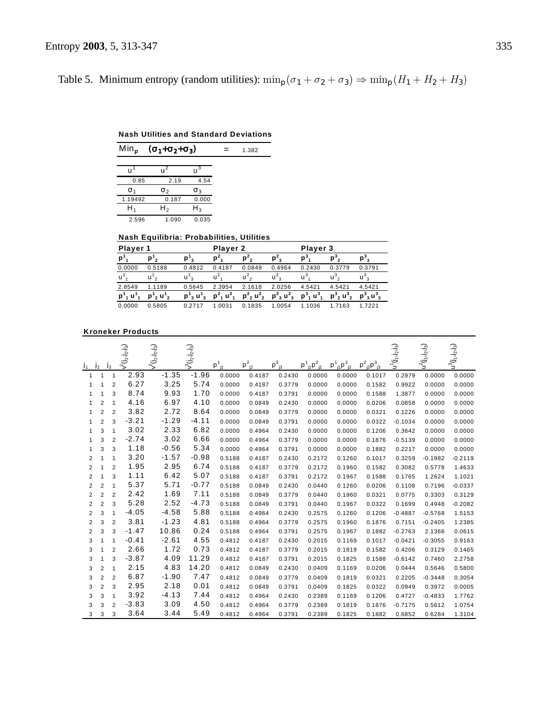Table 5. Minimum entropy (random utilities):  $\min_p(\sigma_1 + \sigma_2 + \sigma_3) \Rightarrow \min_p(H_1 + H_2 + H_3)$ 

**Nash Utilities and Standard Deviations**

| $Min_{p}$  | $(\sigma_1 + \sigma_2 + \sigma_3)$ |       | 1.382 |
|------------|------------------------------------|-------|-------|
|            |                                    |       |       |
|            |                                    |       |       |
| 0.85       | 2.19                               | 4.54  |       |
| $\sigma_1$ | $\sigma$                           | σ,    |       |
| 1.19492    | 0.187                              | 0.000 |       |
| н.         | H,                                 | $H_3$ |       |
| 2.596      | 1.090                              | 0.035 |       |

**Nash Equilibria: Probabilities, Utilities**

| Player 1 |                            |                   | Player 2       |                                                             |                                 | Player 3                |                            |                                       |  |
|----------|----------------------------|-------------------|----------------|-------------------------------------------------------------|---------------------------------|-------------------------|----------------------------|---------------------------------------|--|
| D        | D<br>$\mathbf{\cdot}$      | p<br>3            | $p^2$          | p <sup>2</sup><br>$\overline{\phantom{a}}$                  | p <sup>2</sup><br>$\mathbf{a}$  | $p^3$                   | p <sup>3</sup>             | р                                     |  |
| 0.0000   | 0.5188                     | 0.4812            | 0.4187         | 0.0849                                                      | 0.4964                          | 0.2430                  | 0.3779                     | 0.3791                                |  |
| u        | u<br>$\sim$                | u<br>$\mathbf{z}$ | $u^2$          | $u^2$ ,                                                     | $u^2$ <sub>3</sub>              | $u^3$                   | $u^3$                      | $u^3$<br>$\overline{ }$               |  |
| 2.8549   | 1.1189                     | 0.5645            | 2.3954         | 2.1618                                                      | 2.0256                          | 4.5421                  | 4.5421                     | 4.5421                                |  |
| D<br>u   | $\,$ , u <sup>1</sup><br>D | $p^1$ , u         | $p^2$<br>$u^2$ | $p^2$<br>, u <sup>2</sup><br>۰,<br>$\overline{\phantom{a}}$ | p <sup>2</sup><br>$\mu^2$<br>ີາ | $p^3$<br>$\mathsf{u}^3$ | $p^3$<br>$3^3$ , u $3^3$ , | $p^3$ <sub>3</sub> $u^3$ <sub>3</sub> |  |
| 0.0000   | 0.5805                     | 0.2717            | 1.0031         | 0.1835                                                      | 1.0054                          | 1.1036                  | 1.7163                     | 1.7221                                |  |

#### **Kroneker Products**

| $J_1$ $J_2$ |                | $J_3$          | $\mathsf{v}^{\mathsf{1}}(\mathsf{i}_1,\mathsf{i}_2,\mathsf{i}_3)$ | $\mathcal{\hat{V}}(j_1,j_2,j_3)$ | $\mathbf{v}^3(\mathbf{j}_{1},\mathbf{j}_{2},\mathbf{j}_{3})$ | $p_{i1}^1$ | $p^2_{i2}$ | $p^3_{i3}$ | $p^1_{j1}p^2_{j2}$ | $p^1_{i1}p^3_{i3}$ | $p^2_{i2}p^3_{i3}$ | $\mathsf{u}^\dagger(\mathsf{j}_\mathsf{1},\mathsf{j}_\mathsf{2},\mathsf{j}_\mathsf{3})$ | $u^2(j_1,j_2,j_3)$ | $\mathsf{u}^3$ ( $\mathsf{c}_1$ i, $\mathsf{i}_2$ |
|-------------|----------------|----------------|-------------------------------------------------------------------|----------------------------------|--------------------------------------------------------------|------------|------------|------------|--------------------|--------------------|--------------------|-----------------------------------------------------------------------------------------|--------------------|---------------------------------------------------|
| 1           | 1              | 1              | 2.93                                                              | $-1.35$                          | $-1.96$                                                      | 0.0000     | 0.4187     | 0.2430     | 0.0000             | 0.0000             | 0.1017             | 0.2979                                                                                  | 0.0000             | 0.0000                                            |
| 1           | 1              | $\overline{2}$ | 6.27                                                              | 3.25                             | 5.74                                                         | 0.0000     | 0.4187     | 0.3779     | 0.0000             | 0.0000             | 0.1582             | 0.9922                                                                                  | 0.0000             | 0.0000                                            |
| 1           | 1              | 3              | 8.74                                                              | 9.93                             | 1.70                                                         | 0.0000     | 0.4187     | 0.3791     | 0.0000             | 0.0000             | 0.1588             | 1.3877                                                                                  | 0.0000             | 0.0000                                            |
| 1           | 2              | 1              | 4.16                                                              | 6.97                             | 4.10                                                         | 0.0000     | 0.0849     | 0.2430     | 0.0000             | 0.0000             | 0.0206             | 0.0858                                                                                  | 0.0000             | 0.0000                                            |
| 1           | 2              | $\overline{2}$ | 3.82                                                              | 2.72                             | 8.64                                                         | 0.0000     | 0.0849     | 0.3779     | 0.0000             | 0.0000             | 0.0321             | 0.1226                                                                                  | 0.0000             | 0.0000                                            |
| 1           | $\overline{2}$ | 3              | $-3.21$                                                           | $-1.29$                          | $-4.11$                                                      | 0.0000     | 0.0849     | 0.3791     | 0.0000             | 0.0000             | 0.0322             | $-0.1034$                                                                               | 0.0000             | 0.0000                                            |
| 1           | 3              | 1              | 3.02                                                              | 2.33                             | 6.82                                                         | 0.0000     | 0.4964     | 0.2430     | 0.0000             | 0.0000             | 0.1206             | 0.3642                                                                                  | 0.0000             | 0.0000                                            |
| 1           | 3              | $\overline{2}$ | $-2.74$                                                           | 3.02                             | 6.66                                                         | 0.0000     | 0.4964     | 0.3779     | 0.0000             | 0.0000             | 0.1876             | $-0.5139$                                                                               | 0.0000             | 0.0000                                            |
| 1           | 3              | 3              | 1.18                                                              | $-0.56$                          | 5.34                                                         | 0.0000     | 0.4964     | 0.3791     | 0.0000             | 0.0000             | 0.1882             | 0.2217                                                                                  | 0.0000             | 0.0000                                            |
| 2           | 1              | $\mathbf{1}$   | 3.20                                                              | $-1.57$                          | $-0.98$                                                      | 0.5188     | 0.4187     | 0.2430     | 0.2172             | 0.1260             | 0.1017             | 0.3259                                                                                  | $-0.1982$          | $-0.2119$                                         |
| 2           | 1              | $\overline{2}$ | 1.95                                                              | 2.95                             | 6.74                                                         | 0.5188     | 0.4187     | 0.3779     | 0.2172             | 0.1960             | 0.1582             | 0.3082                                                                                  | 0.5778             | 1.4633                                            |
| 2           | 1              | 3              | 1.11                                                              | 6.42                             | 5.07                                                         | 0.5188     | 0.4187     | 0.3791     | 0.2172             | 0.1967             | 0.1588             | 0.1765                                                                                  | 1.2624             | 1.1021                                            |
| 2           | $\overline{2}$ | $\mathbf{1}$   | 5.37                                                              | 5.71                             | $-0.77$                                                      | 0.5188     | 0.0849     | 0.2430     | 0.0440             | 0.1260             | 0.0206             | 0.1108                                                                                  | 0.7196             | $-0.0337$                                         |
| 2           | $\overline{2}$ | $\overline{2}$ | 2.42                                                              | 1.69                             | 7.11                                                         | 0.5188     | 0.0849     | 0.3779     | 0.0440             | 0.1960             | 0.0321             | 0.0775                                                                                  | 0.3303             | 0.3129                                            |
| 2           | $\overline{2}$ | 3              | 5.28                                                              | 2.52                             | $-4.73$                                                      | 0.5188     | 0.0849     | 0.3791     | 0.0440             | 0.1967             | 0.0322             | 0.1699                                                                                  | 0.4948             | $-0.2082$                                         |
| 2           | 3              | $\mathbf{1}$   | $-4.05$                                                           | $-4.58$                          | 5.88                                                         | 0.5188     | 0.4964     | 0.2430     | 0.2575             | 0.1260             | 0.1206             | $-0.4887$                                                                               | $-0.5768$          | 1.5153                                            |
| 2           | 3              | $\overline{2}$ | 3.81                                                              | $-1.23$                          | 4.81                                                         | 0.5188     | 0.4964     | 0.3779     | 0.2575             | 0.1960             | 0.1876             | 0.7151                                                                                  | $-0.2405$          | 1.2385                                            |
| 2           | 3              | 3              | $-1.47$                                                           | 10.86                            | 0.24                                                         | 0.5188     | 0.4964     | 0.3791     | 0.2575             | 0.1967             | 0.1882             | $-0.2763$                                                                               | 2.1366             | 0.0615                                            |
| 3           | 1              | 1              | $-0.41$                                                           | $-2.61$                          | 4.55                                                         | 0.4812     | 0.4187     | 0.2430     | 0.2015             | 0.1169             | 0.1017             | $-0.0421$                                                                               | $-0.3055$          | 0.9163                                            |
| 3           | 1              | $\overline{2}$ | 2.66                                                              | 1.72                             | 0.73                                                         | 0.4812     | 0.4187     | 0.3779     | 0.2015             | 0.1819             | 0.1582             | 0.4206                                                                                  | 0.3129             | 0.1465                                            |
| 3           | 1              | 3              | $-3.87$                                                           | 4.09                             | 11.29                                                        | 0.4812     | 0.4187     | 0.3791     | 0.2015             | 0.1825             | 0.1588             | $-0.6142$                                                                               | 0.7460             | 2.2758                                            |
| 3           | 2              | 1              | 2.15                                                              | 4.83                             | 14.20                                                        | 0.4812     | 0.0849     | 0.2430     | 0.0409             | 0.1169             | 0.0206             | 0.0444                                                                                  | 0.5646             | 0.5800                                            |
| 3           | $\overline{2}$ | $\overline{2}$ | 6.87                                                              | $-1.90$                          | 7.47                                                         | 0.4812     | 0.0849     | 0.3779     | 0.0409             | 0.1819             | 0.0321             | 0.2205                                                                                  | $-0.3448$          | 0.3054                                            |
| 3           | 2              | 3              | 2.95                                                              | 2.18                             | 0.01                                                         | 0.4812     | 0.0849     | 0.3791     | 0.0409             | 0.1825             | 0.0322             | 0.0949                                                                                  | 0.3972             | 0.0005                                            |
| 3           | 3              | 1              | 3.92                                                              | $-4.13$                          | 7.44                                                         | 0.4812     | 0.4964     | 0.2430     | 0.2389             | 0.1169             | 0.1206             | 0.4727                                                                                  | $-0.4833$          | 1.7762                                            |
| 3           | 3              | $\overline{2}$ | $-3.83$                                                           | 3.09                             | 4.50                                                         | 0.4812     | 0.4964     | 0.3779     | 0.2389             | 0.1819             | 0.1876             | $-0.7175$                                                                               | 0.5612             | 1.0754                                            |
| 3           | 3              | 3              | 3.64                                                              | 3.44                             | 5.49                                                         | 0.4812     | 0.4964     | 0.3791     | 0.2389             | 0.1825             | 0.1882             | 0.6852                                                                                  | 0.6284             | 1.3104                                            |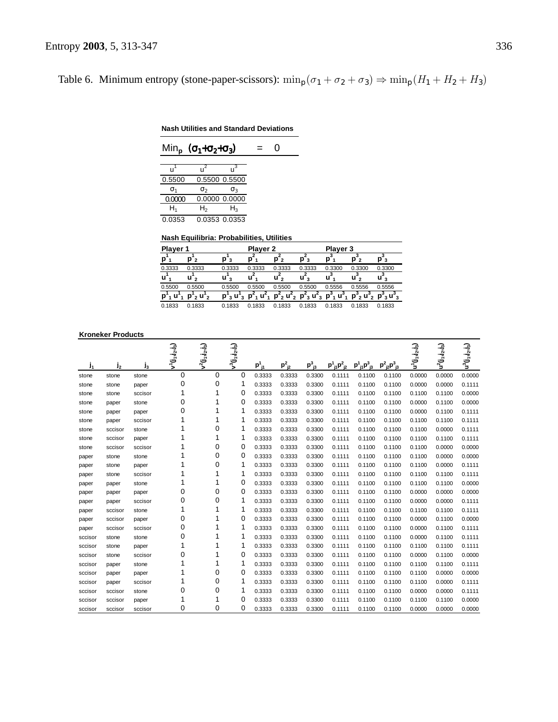Table 6. Minimum entropy (stone-paper-scissors):  $\min_p(\sigma_1 + \sigma_2 + \sigma_3) \Rightarrow \min_p(H_1 + H_2 + H_3)$ 

**Nash Utilities and Standard Deviations**

|              | $Min_p$ (σ <sub>1</sub> +σ <sub>2</sub> +σ <sub>3</sub> ) |                |  |
|--------------|-----------------------------------------------------------|----------------|--|
|              |                                                           |                |  |
| п            |                                                           | $\mathbf{u}^3$ |  |
| 0.5500       | 0.5500 0.5500                                             |                |  |
| $\sigma_{1}$ | σ                                                         | σ,             |  |
| 0.0000       | 0.0000 0.0000                                             |                |  |
| H۱           | H۶                                                        | H۹             |  |
| 0.0353       | 0.0353 0.0353                                             |                |  |
|              |                                                           |                |  |

**Nash Equilibria: Probabilities, Utilities**

|                  | <b>Player 1</b>         |                 |        | Player 2                               |                                                | Player 3 |                                        |                         |  |
|------------------|-------------------------|-----------------|--------|----------------------------------------|------------------------------------------------|----------|----------------------------------------|-------------------------|--|
| $\mathbf{p}_{1}$ | $\overline{\mathbf{2}}$ | р<br>3          | p      | р<br>$\overline{\mathbf{2}}$           | р<br>-3                                        | $p^3$    | р<br>$\overline{\mathbf{2}}$           | р<br>-3                 |  |
| 0.3333           | 0.3333                  | 0.3333          | 0.3333 | 0.3333                                 | 0.3333                                         | 0.3300   | 0.3300                                 | 0.3300                  |  |
| u                | U <sub>2</sub>          | U <sub>3</sub>  | u      | uэ                                     | Uз                                             | u        | u۶                                     | Uз                      |  |
| 0.5500           | 0.5500                  | 0.5500          | 0.5500 | 0.5500                                 | 0.5500                                         | 0.5556   | 0.5556                                 | 0.5556                  |  |
| р<br>u<br>1      | $2$ U $2$<br>D          | ` 3 U<br>D<br>3 | u<br>D | ั่ว U<br>D<br>$\overline{\phantom{a}}$ | $3^{\prime}$ u<br>p<br>$\overline{\mathbf{3}}$ | 1 U<br>D | ั่ว U<br>D<br>$\overline{\phantom{a}}$ | $3 \mathrm{U}$ $3$<br>D |  |
| 0.1833           | 0.1833                  | 0.1833          | 0.1833 | 0.1833                                 | 0.1833                                         | 0.1833   | 0.1833                                 | 0.1833                  |  |

#### **Kroneker Products**

| $J_1$   | J2      | J3      | (وا، دار) ا <sup>ر</sup> | ${\mathsf v}^2({\mathsf j}_!, {\mathsf j}_2, {\mathsf j}_3)$ | $v^3(j_1,j_2,j_3)$ | $p_{\vert n}^1$ | $p_{\dot{\mu}}^2$ | $p_{\beta}^3$ | $p_{jl}^{1}p_{jl}^{2}$ | ' <sub>ј1</sub> р <sup>3</sup> <sub>ј3</sub><br>p <sup>1</sup> | $p^2_{\mu}p^3_{\mu}$ | (واردار)'u" | $\mathsf{u}^2(\mathsf{j}_\mathsf{t}, \mathsf{j}_\mathsf{t})$ | $u^3($ اروار $\mathfrak{g}_1$ وار |
|---------|---------|---------|--------------------------|--------------------------------------------------------------|--------------------|-----------------|-------------------|---------------|------------------------|----------------------------------------------------------------|----------------------|-------------|--------------------------------------------------------------|-----------------------------------|
| stone   | stone   | stone   | 0                        | 0                                                            | 0                  | 0.3333          | 0.3333            | 0.3300        | 0.1111                 | 0.1100                                                         | 0.1100               | 0.0000      | 0.0000                                                       | 0.0000                            |
| stone   | stone   | paper   | 0                        | 0                                                            | 1                  | 0.3333          | 0.3333            | 0.3300        | 0.1111                 | 0.1100                                                         | 0.1100               | 0.0000      | 0.0000                                                       | 0.1111                            |
| stone   | stone   | sccisor | 1                        |                                                              | 0                  | 0.3333          | 0.3333            | 0.3300        | 0.1111                 | 0.1100                                                         | 0.1100               | 0.1100      | 0.1100                                                       | 0.0000                            |
| stone   | paper   | stone   | 0                        |                                                              | 0                  | 0.3333          | 0.3333            | 0.3300        | 0.1111                 | 0.1100                                                         | 0.1100               | 0.0000      | 0.1100                                                       | 0.0000                            |
| stone   | paper   | paper   | 0                        |                                                              | 1                  | 0.3333          | 0.3333            | 0.3300        | 0.1111                 | 0.1100                                                         | 0.1100               | 0.0000      | 0.1100                                                       | 0.1111                            |
| stone   | paper   | sccisor | 1                        |                                                              | 1                  | 0.3333          | 0.3333            | 0.3300        | 0.1111                 | 0.1100                                                         | 0.1100               | 0.1100      | 0.1100                                                       | 0.1111                            |
| stone   | sccisor | stone   | 1                        | 0                                                            | 1                  | 0.3333          | 0.3333            | 0.3300        | 0.1111                 | 0.1100                                                         | 0.1100               | 0.1100      | 0.0000                                                       | 0.1111                            |
| stone   | sccisor | paper   | 1                        | 1                                                            | 1                  | 0.3333          | 0.3333            | 0.3300        | 0.1111                 | 0.1100                                                         | 0.1100               | 0.1100      | 0.1100                                                       | 0.1111                            |
| stone   | sccisor | sccisor | 1                        | 0                                                            | 0                  | 0.3333          | 0.3333            | 0.3300        | 0.1111                 | 0.1100                                                         | 0.1100               | 0.1100      | 0.0000                                                       | 0.0000                            |
| paper   | stone   | stone   | 1                        | 0                                                            | 0                  | 0.3333          | 0.3333            | 0.3300        | 0.1111                 | 0.1100                                                         | 0.1100               | 0.1100      | 0.0000                                                       | 0.0000                            |
| paper   | stone   | paper   | 1                        | 0                                                            | 1                  | 0.3333          | 0.3333            | 0.3300        | 0.1111                 | 0.1100                                                         | 0.1100               | 0.1100      | 0.0000                                                       | 0.1111                            |
| paper   | stone   | sccisor | 1                        | 1                                                            | 1                  | 0.3333          | 0.3333            | 0.3300        | 0.1111                 | 0.1100                                                         | 0.1100               | 0.1100      | 0.1100                                                       | 0.1111                            |
| paper   | paper   | stone   | 1                        | 1                                                            | 0                  | 0.3333          | 0.3333            | 0.3300        | 0.1111                 | 0.1100                                                         | 0.1100               | 0.1100      | 0.1100                                                       | 0.0000                            |
| paper   | paper   | paper   | 0                        | 0                                                            | 0                  | 0.3333          | 0.3333            | 0.3300        | 0.1111                 | 0.1100                                                         | 0.1100               | 0.0000      | 0.0000                                                       | 0.0000                            |
| paper   | paper   | sccisor | 0                        | 0                                                            | 1                  | 0.3333          | 0.3333            | 0.3300        | 0.1111                 | 0.1100                                                         | 0.1100               | 0.0000      | 0.0000                                                       | 0.1111                            |
| paper   | sccisor | stone   | 1                        |                                                              | 1                  | 0.3333          | 0.3333            | 0.3300        | 0.1111                 | 0.1100                                                         | 0.1100               | 0.1100      | 0.1100                                                       | 0.1111                            |
| paper   | sccisor | paper   | 0                        |                                                              | 0                  | 0.3333          | 0.3333            | 0.3300        | 0.1111                 | 0.1100                                                         | 0.1100               | 0.0000      | 0.1100                                                       | 0.0000                            |
| paper   | sccisor | sccisor | 0                        |                                                              | 1                  | 0.3333          | 0.3333            | 0.3300        | 0.1111                 | 0.1100                                                         | 0.1100               | 0.0000      | 0.1100                                                       | 0.1111                            |
| sccisor | stone   | stone   | 0                        |                                                              | 1                  | 0.3333          | 0.3333            | 0.3300        | 0.1111                 | 0.1100                                                         | 0.1100               | 0.0000      | 0.1100                                                       | 0.1111                            |
| sccisor | stone   | paper   | 1                        |                                                              | 1                  | 0.3333          | 0.3333            | 0.3300        | 0.1111                 | 0.1100                                                         | 0.1100               | 0.1100      | 0.1100                                                       | 0.1111                            |
| sccisor | stone   | sccisor | 0                        |                                                              | 0                  | 0.3333          | 0.3333            | 0.3300        | 0.1111                 | 0.1100                                                         | 0.1100               | 0.0000      | 0.1100                                                       | 0.0000                            |
| sccisor | paper   | stone   | 1                        |                                                              | 1                  | 0.3333          | 0.3333            | 0.3300        | 0.1111                 | 0.1100                                                         | 0.1100               | 0.1100      | 0.1100                                                       | 0.1111                            |
| sccisor | paper   | paper   | 1                        | 0                                                            | 0                  | 0.3333          | 0.3333            | 0.3300        | 0.1111                 | 0.1100                                                         | 0.1100               | 0.1100      | 0.0000                                                       | 0.0000                            |
| sccisor | paper   | sccisor | 1                        | 0                                                            | 1                  | 0.3333          | 0.3333            | 0.3300        | 0.1111                 | 0.1100                                                         | 0.1100               | 0.1100      | 0.0000                                                       | 0.1111                            |
| sccisor | sccisor | stone   | 0                        | 0                                                            | 1                  | 0.3333          | 0.3333            | 0.3300        | 0.1111                 | 0.1100                                                         | 0.1100               | 0.0000      | 0.0000                                                       | 0.1111                            |
| sccisor | sccisor | paper   | 1                        | 1                                                            | 0                  | 0.3333          | 0.3333            | 0.3300        | 0.1111                 | 0.1100                                                         | 0.1100               | 0.1100      | 0.1100                                                       | 0.0000                            |
| sccisor | sccisor | sccisor | 0                        | 0                                                            | 0                  | 0.3333          | 0.3333            | 0.3300        | 0.1111                 | 0.1100                                                         | 0.1100               | 0.0000      | 0.0000                                                       | 0.0000                            |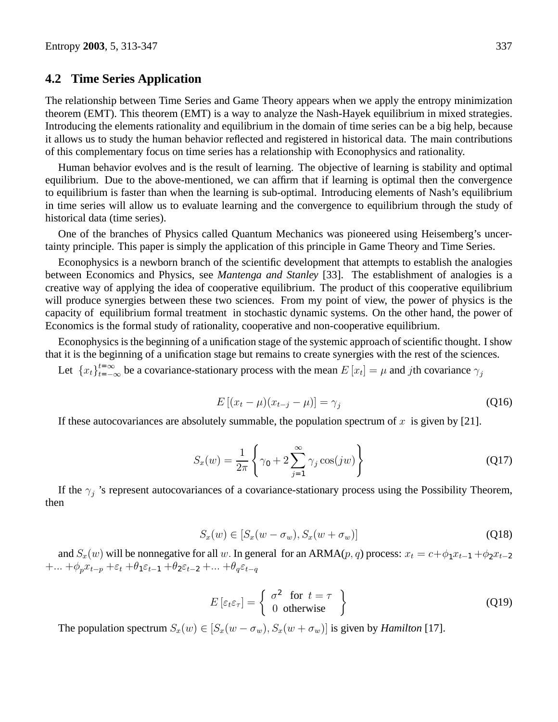## **4.2 Time Series Application**

The relationship between Time Series and Game Theory appears when we apply the entropy minimization theorem (EMT). This theorem (EMT) is a way to analyze the Nash-Hayek equilibrium in mixed strategies. Introducing the elements rationality and equilibrium in the domain of time series can be a big help, because it allows us to study the human behavior reflected and registered in historical data. The main contributions of this complementary focus on time series has a relationship with Econophysics and rationality.

Human behavior evolves and is the result of learning. The objective of learning is stability and optimal equilibrium. Due to the above-mentioned, we can affirm that if learning is optimal then the convergence to equilibrium is faster than when the learning is sub-optimal. Introducing elements of Nash's equilibrium in time series will allow us to evaluate learning and the convergence to equilibrium through the study of historical data (time series).

One of the branches of Physics called Quantum Mechanics was pioneered using Heisemberg's uncertainty principle. This paper is simply the application of this principle in Game Theory and Time Series.

Econophysics is a newborn branch of the scientific development that attempts to establish the analogies between Economics and Physics, see *Mantenga and Stanley* [33]. The establishment of analogies is a creative way of applying the idea of cooperative equilibrium. The product of this cooperative equilibrium will produce synergies between these two sciences. From my point of view, the power of physics is the capacity of equilibrium formal treatment in stochastic dynamic systems. On the other hand, the power of Economics is the formal study of rationality, cooperative and non-cooperative equilibrium.

Econophysics is the beginning of a unification stage of the systemic approach of scientific thought. I show that it is the beginning of a unification stage but remains to create synergies with the rest of the sciences.

Let  ${x_t}_{t=-\infty}^{t=\infty}$  be a covariance-stationary process with the mean  $E[x_t] = \mu$  and jth covariance  $\gamma_j$ 

$$
E\left[ (x_t - \mu)(x_{t-j} - \mu) \right] = \gamma_j \tag{Q16}
$$

If these autocovariances are absolutely summable, the population spectrum of  $x$  is given by [21].

$$
S_x(w) = \frac{1}{2\pi} \left\{ \gamma_0 + 2 \sum_{j=1}^{\infty} \gamma_j \cos(jw) \right\}
$$
 (Q17)

If the  $\gamma_j$  's represent autocovariances of a covariance-stationary process using the Possibility Theorem, then

$$
S_x(w) \in [S_x(w - \sigma_w), S_x(w + \sigma_w)]
$$
\n<sup>(Q18)</sup>

and  $S_x(w)$  will be nonnegative for all w. In general for an ARMA(p, q) process:  $x_t = c + \phi_1 x_{t-1} + \phi_2 x_{t-2}$ +... + $\phi_n x_{t-p}$  + $\varepsilon_t$  + $\theta_1 \varepsilon_{t-1}$  + $\theta_2 \varepsilon_{t-2}$  +... + $\theta_q \varepsilon_{t-q}$ 

$$
E\left[\varepsilon_t \varepsilon_\tau\right] = \left\{ \begin{array}{c} \sigma^2 \quad \text{for } t = \tau \\ 0 \quad \text{otherwise} \end{array} \right\} \tag{Q19}
$$

The population spectrum  $S_x(w) \in [S_x(w - \sigma_w), S_x(w + \sigma_w)]$  is given by *Hamilton* [17].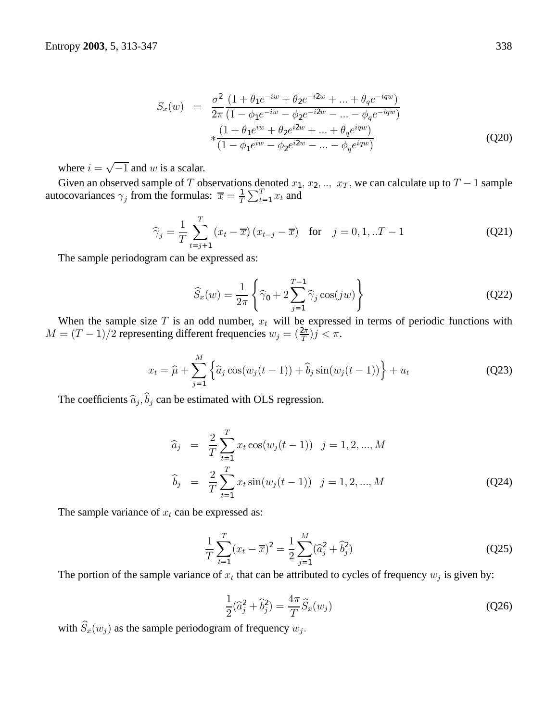$$
S_x(w) = \frac{\sigma^2}{2\pi} \frac{(1 + \theta_1 e^{-iw} + \theta_2 e^{-i2w} + \dots + \theta_q e^{-iqw})}{(1 - \phi_1 e^{-iw} - \phi_2 e^{-i2w} - \dots - \phi_q e^{-iqw})} \times \frac{(1 + \theta_1 e^{iw} + \theta_2 e^{i2w} + \dots + \theta_q e^{iqw})}{(1 - \phi_1 e^{iw} - \phi_2 e^{i2w} - \dots - \phi_q e^{iqw})}
$$
(Q20)

where  $i = \sqrt{-1}$  and w is a scalar.

Given an observed sample of T observations denoted  $x_1, x_2, \ldots, x_T$ , we can calculate up to  $T - 1$  sample autocovariances  $\gamma_j$  from the formulas:  $\bar{x} = \frac{1}{T} \sum_{t=1}^T x_t$  and

$$
\widehat{\gamma}_j = \frac{1}{T} \sum_{t=j+1}^T (x_t - \overline{x}) (x_{t-j} - \overline{x}) \quad \text{for} \quad j = 0, 1, ...T - 1 \tag{Q21}
$$

The sample periodogram can be expressed as:

$$
\widehat{S}_x(w) = \frac{1}{2\pi} \left\{ \widehat{\gamma}_0 + 2 \sum_{j=1}^{T-1} \widehat{\gamma}_j \cos(jw) \right\}
$$
(Q22)

When the sample size  $T$  is an odd number,  $x_t$  will be expressed in terms of periodic functions with  $M = (T - 1)/2$  representing different frequencies  $w_j = (\frac{2\pi}{T})j < \pi$ .

$$
x_t = \hat{\mu} + \sum_{j=1}^{M} \left\{ \hat{a}_j \cos(w_j(t-1)) + \hat{b}_j \sin(w_j(t-1)) \right\} + u_t
$$
 (Q23)

The coefficients  $\widehat{a}_j, \widehat{b}_j$  can be estimated with OLS regression.

$$
\widehat{a}_{j} = \frac{2}{T} \sum_{t=1}^{T} x_{t} \cos(w_{j}(t-1)) \quad j = 1, 2, ..., M
$$
  

$$
\widehat{b}_{j} = \frac{2}{T} \sum_{t=1}^{T} x_{t} \sin(w_{j}(t-1)) \quad j = 1, 2, ..., M
$$
 (Q24)

The sample variance of  $x_t$  can be expressed as:

$$
\frac{1}{T}\sum_{t=1}^{T}(x_t - \overline{x})^2 = \frac{1}{2}\sum_{j=1}^{M}(\widehat{a}_j^2 + \widehat{b}_j^2)
$$
\n(Q25)

The portion of the sample variance of  $x_t$  that can be attributed to cycles of frequency  $w_j$  is given by:

$$
\frac{1}{2}(\widehat{a}_j^2 + \widehat{b}_j^2) = \frac{4\pi}{T}\widehat{S}_x(w_j)
$$
\n(Q26)

with  $\widehat{S}_x(w_j)$  as the sample periodogram of frequency  $w_j$ .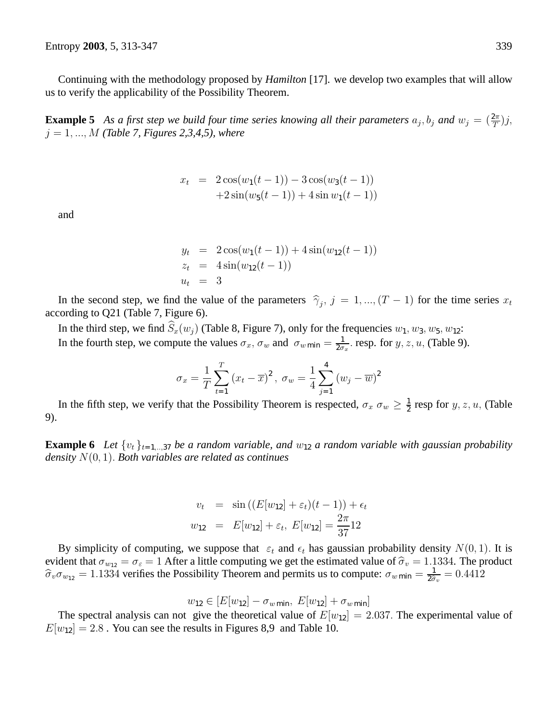Continuing with the methodology proposed by *Hamilton* [17]. we develop two examples that will allow us to verify the applicability of the Possibility Theorem.

**Example 5** As a first step we build four time series knowing all their parameters  $a_j, b_j$  and  $w_j = (\frac{2\pi}{T})j$ ,  $j = 1, ..., M$  *(Table 7, Figures 2,3,4,5), where* 

$$
x_t = 2\cos(w_1(t-1)) - 3\cos(w_3(t-1))
$$
  
+2\sin(w\_5(t-1)) + 4\sin w\_1(t-1))

and

$$
y_t = 2\cos(w_1(t-1)) + 4\sin(w_{12}(t-1))
$$
  
\n
$$
z_t = 4\sin(w_{12}(t-1))
$$
  
\n
$$
u_t = 3
$$

In the second step, we find the value of the parameters  $\hat{\gamma}_i$ ,  $j = 1, ..., (T - 1)$  for the time series  $x_t$ according to Q21 (Table 7, Figure 6).

In the third step, we find  $\widehat{S}_x(w_j)$  (Table 8, Figure 7), only for the frequencies  $w_1, w_3, w_5, w_{12}$ : In the fourth step, we compute the values  $\sigma_x$ ,  $\sigma_w$  and  $\sigma_{w \text{min}} = \frac{1}{2\sigma_x}$ . resp. for  $y$ ,  $z$ ,  $u$ , (Table 9).

$$
\sigma_x = \frac{1}{T} \sum_{t=1}^T (x_t - \overline{x})^2, \ \sigma_w = \frac{1}{4} \sum_{j=1}^4 (w_j - \overline{w})^2
$$

In the fifth step, we verify that the Possibility Theorem is respected,  $\sigma_x \sigma_w \geq \frac{1}{2}$  resp for  $y, z, u$ , (Table 9).

**Example 6** *Let*  $\{v_t\}_{t=1,\dots,37}$  *be a random variable, and*  $w_{12}$  *a random variable with gaussian probability density* N(0, 1). *Both variables are related as continues*

$$
v_t = \sin((E[w_{12}] + \varepsilon_t)(t - 1)) + \epsilon_t
$$
  

$$
w_{12} = E[w_{12}] + \varepsilon_t, E[w_{12}] = \frac{2\pi}{37}12
$$

By simplicity of computing, we suppose that  $\varepsilon_t$  and  $\epsilon_t$  has gaussian probability density  $N(0, 1)$ . It is evident that  $\sigma_{w_{12}} = \sigma_{\epsilon} = 1$  After a little computing we get the estimated value of  $\hat{\sigma}_v = 1.1334$ . The product  $\hat{\sigma}_v \sigma_{w_{12}} = 1.1334$  verifies the Possibility Theorem and permits us to compute:  $\sigma_{w \text{min}} = \frac{1}{2\hat{\sigma}_v} = 0.4412$ 

$$
w_{12} \in [E[w_{12}] - \sigma_{w \min}, E[w_{12}] + \sigma_{w \min}]
$$

The spectral analysis can not give the theoretical value of  $E[w_{12}]=2.037$ . The experimental value of  $E[w_{12}]=2.8$ . You can see the results in Figures 8,9 and Table 10.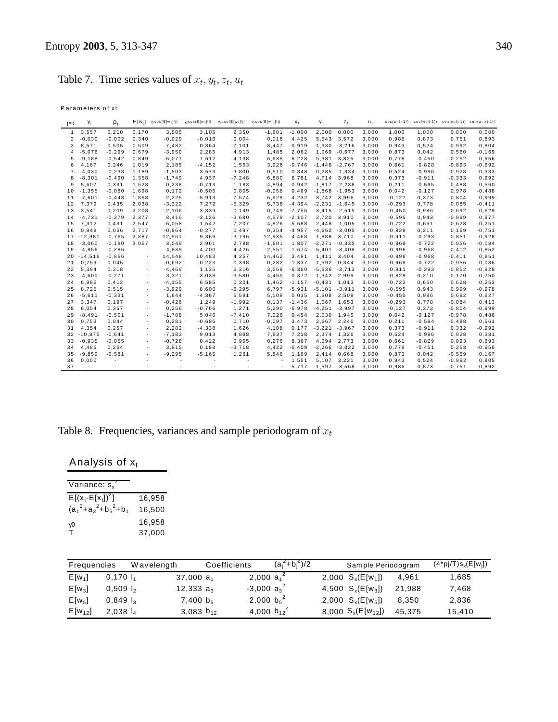## Table 7. Time series values of  $x_t, y_t, z_t, u_t$

P arameters of xt

| $i = t$      | Υj        | $\rho_i$  |                          | $E[W_i]$ $\gamma_i$ -cos(E[w <sub>1</sub> ]*j) | γ, cos (E [w <sub>3</sub> ]*j) | $\gamma_i$ -cos (E[w $_5$ ]*j) | $\gamma_i$ -cos(E[w <sub>12</sub> ]*j) | $X_t$     | y <sub>t</sub> | $z_{t}$           | u,    |           | $cos(w_1(t-1)) cos(w_3(t-1)) sin(w_5(t-1)) sin(w_{12}(t-1))$ |           |           |
|--------------|-----------|-----------|--------------------------|------------------------------------------------|--------------------------------|--------------------------------|----------------------------------------|-----------|----------------|-------------------|-------|-----------|--------------------------------------------------------------|-----------|-----------|
| $\mathbf{1}$ | 3,557     | 0,210     | 0,170                    | 3,505                                          | 3,105                          | 2,350                          | $-1,601$                               | $-1,000$  | 2,000          | 0,000             | 3,000 | 1,000     | 1,000                                                        | 0,000     | 0,000     |
| 2            | $-0.030$  | $-0.002$  | 0,340                    | $-0.029$                                       | $-0.016$                       | 0,004                          | 0,018                                  | 4,425     | 5,543          | 3,572             | 3,000 | 0,986     | 0,873                                                        | 0,751     | 0,893     |
| 3            | 8,571     | 0,505     | 0.509                    | 7,482                                          | 0,364                          | $-7,101$                       | 8,447                                  | $-0.919$  | $-1.330$       | $-3,216$          | 3.000 | 0,943     | 0,524                                                        | 0,992     | $-0, 804$ |
| 4            | $-5.076$  | $-0,299$  | 0.679                    | $-3,950$                                       | 2,285                          | 4,913                          | 1,485                                  | 2,062     | 1.069          | $-0.677$          | 3,000 | 0,873     | 0,042                                                        | 0,560     | $-0, 169$ |
| 5            | $-9,188$  | $-0.542$  | 0,849                    | $-6,071$                                       | 7,612                          | 4,138                          | 6,635                                  | 6,228     | 5,381          | 3,825             | 3,000 | 0.778     | $-0,450$                                                     | $-0,252$  | 0,956     |
| 6            | 4,167     | 0,246     | 1,019                    | 2,185                                          | $-4, 152$                      | 1,553                          | 3,928                                  | $-0,746$  | $-1,446$       | $-2,767$          | 3,000 | 0,661     | $-0.828$                                                     | $-0.893$  | $-0.692$  |
|              | $-4,030$  | $-0,238$  | 1,189                    | $-1,503$                                       | 3,673                          | $-3,800$                       | 0,510                                  | 0,848     | $-0,285$       | $-1,334$          | 3,000 | 0,524     | $-0.996$                                                     | $-0.928$  | $-0, 333$ |
| 8            | $-8,301$  | $-0,490$  | 1,358                    | $-1,749$                                       | 4,937                          | $-7, 248$                      | 6,880                                  | 6,781     | 4,714          | 3,968             | 3,000 | 0,373     | $-0.911$                                                     | $-0,333$  | 0,992     |
| 9            | 5,607     | 0,331     | 1,528                    | 0,238                                          | $-0,713$                       | 1,183                          | 4,894                                  | 0,942     |                | $-1,817 -2,238$   | 3,000 | 0, 211    | $-0.595$                                                     | 0,488     | $-0,560$  |
| 10           | $-1.355$  | $-0.080$  | 1,698                    | 0,172                                          | $-0.505$                       | 0,805                          | $-0.058$                               | 0.469     |                | $-1,868$ $-1,953$ | 3,000 | 0.042     | $-0,127$                                                     | 0,978     | $-0, 488$ |
| 11           | $-7,601$  | $-0, 448$ | 1,868                    | 2,225                                          | $-5,913$                       | 7,574                          | 6,929                                  | 4,232     |                | 3,742 3,996       | 3,000 | $-0,127$  | 0,373                                                        | 0,804     | 0,999     |
| 12           | 7,379     | 0.435     | 2.038                    | $-3,322$                                       | 7,272                          | $-5,329$                       | 5.738                                  | $-4.394$  |                | $-2.231 - 1.645$  | 3.000 | $-0.293$  | 0.778                                                        | 0,085     | $-0, 411$ |
| 13           | 3,541     | 0,209     | 2,208                    | $-2,106$                                       | 3,339                          | 0,149                          | 0,749                                  | $-7,756$  |                | $-3,415 -2,515$   | 3,000 | $-0,450$  | 0,986                                                        | $-0.692$  | $-0,629$  |
| 14           | $-4,731$  | $-0,279$  | 2,377                    | 3,415                                          | $-3,126$                       | $-3,680$                       | 4,579                                  | $-2.107$  | 2.720          | 3,910             | 3,000 | $-0.595$  | 0,943                                                        | $-0.999$  | 0,977     |
| 15           | 7,312     | 0,431     | 2,547                    | $-6,058$                                       | 1,542                          | 7,207                          | 4,826                                  | $-5,688$  | $-2,448$       | $-1,005$          | 3,000 | $-0,722$  | 0,661                                                        | $-0.628$  | $-0, 251$ |
| 16           | 0,948     | 0,056     | 2,717                    | $-0,864$                                       | $-0,277$                       | 0,497                          | 0,354                                  | $-4,957$  |                | $-4,662 -3,005$   | 3,000 | $-0,828$  | 0,211                                                        | 0,169     | $-0,751$  |
| 17           | $-12,981$ | $-0.765$  | 2,887                    | 12,561                                         | 9,369                          | 3,796                          | 12,935                                 | 4,468     | 1,888          | 3,710             | 3,000 | $-0,911$  | $-0, 293$                                                    | 0,851     | 0,928     |
| 18           | $-3,060$  | $-0,180$  | 3,057                    | 3,049                                          | 2,961                          | 2,788                          | $-1,601$                               | 1,807     | $-2, 271$      | $-0,335$          | 3,000 | $-0.968$  | $-0,722$                                                     | 0,956     | $-0.084$  |
| 19           | $-4,856$  | $-0,286$  |                          | 4,839                                          | 4,700                          | 4,426                          | $-2,551$                               | $-1.674$  | $-5,401$       | $-3,408$          | 3,000 | $-0.996$  | $-0.968$                                                     | 0,412     | $-0.852$  |
| 20           | $-14,516$ | $-0.856$  | $\sim$                   | 14,048                                         | 10,483                         | 4,257                          | 14,462                                 | 3,491     | 1,411          | 3,404             | 3,000 | $-0.996$  | $-0.968$                                                     | $-0, 411$ | 0,851     |
| 21           | 0,759     | 0,045     | $\sim$                   | $-0.692$                                       | $-0,223$                       | 0,398                          | 0,282                                  | $-1,337$  | $-1,592$       | 0,344             | 3,000 | $-0.968$  | $-0,722$                                                     | $-0.956$  | 0,086     |
| 22           | 5,394     | 0,318     | $\sim$                   | $-4,469$                                       | 1,135                          | 5,316                          | 3,569                                  | $-6,360$  |                | $-5,536 -3,713$   | 3,000 | $-0.911$  | $-0,293$                                                     | $-0,852$  | $-0.928$  |
| 23           | $-4,600$  | $-0,271$  | $\sim$                   | 3,321                                          | $-3,038$                       | $-3,580$                       | 4,450                                  | 0,372     | 1,342          | 2,999             | 3,000 | $-0,829$  | 0,210                                                        | $-0,170$  | 0,750     |
| 24           | 6,986     | 0,412     | $\sim$                   | $-4, 155$                                      | 6,586                          | 0,301                          | 1,462                                  | $-1, 157$ | $-0, 431$      | 1,013             | 3,000 | $-0,722$  | 0,660                                                        | 0,628     | 0,253     |
| 25           | 8,725     | 0,515     | $\sim$                   | $-3,929$                                       | 8,600                          | $-6, 295$                      | 6,797                                  | $-5,931$  | $-5,101$       | $-3,911$          | 3,000 | $-0.595$  | 0,943                                                        | 0,999     | $-0.978$  |
| 26           | $-5,611$  | $-0.331$  | $\sim$                   | 1,644                                          | $-4,367$                       | 5,591                          | 5,109                                  | 0,035     | 1,608          | 2,508             | 3,000 | $-0,450$  | 0,986                                                        | 0,692     | 0,627     |
| 27           | 3,347     | 0,197     | $\sim$                   | $-0,426$                                       | 1,249                          | $-1,992$                       | 0,137                                  | $-1,436$  | 1,067          | 1,653             | 3,000 | $-0, 293$ | 0,778                                                        | $-0.084$  | 0,413     |
| 28           | 6.054     | 0.357     | $\sim$                   | 0,256                                          | $-0,766$                       | 1,271                          | 5,290                                  | $-6.978$  | $-4, 251$      | $-3,997$          | 3,000 | $-0.127$  | 0,373                                                        | $-0.804$  | $-0.999$  |
| 29           | $-8,491$  | $-0,501$  | $\sim$                   | $-1,788$                                       | 5,046                          | $-7, 410$                      | 7,026                                  | 0,454     | 2,030          | 1,945             | 3,000 | 0,042     | $-0,127$                                                     | $-0.978$  | 0,486     |
| 30           | 0,753     | 0,044     | $\overline{\phantom{a}}$ | 0, 281                                         | $-0.686$                       | 0,710                          | $-0,097$                               | 3,473     | 2,667          | 2,246             | 3,000 | 0,211     | $-0.594$                                                     | $-0,488$  | 0,561     |
| 31           | 4,354     | 0,257     | $\sim$                   | 2,282                                          | $-4,338$                       | 1,626                          | 4,108                                  | 0,177     | $-3,221$       | $-3,967$          | 3,000 | 0,373     | $-0.911$                                                     | 0,332     | $-0.992$  |
| 32           | $-10,875$ | $-0.641$  | $\sim$                   | $-7,183$                                       | 9,013                          | 4,888                          | 7,837                                  | 7,218     | 2,374          | 1,326             | 3,000 | 0,524     | $-0.996$                                                     | 0,928     | 0, 331    |
| 33           | $-0.935$  | $-0.055$  | $\sim$                   | $-0,728$                                       | 0,422                          | 0,905                          | 0,276                                  | 8,367     | 4,094          | 2,773             | 3,000 | 0,661     | $-0.829$                                                     | 0,893     | 0,693     |
| 34           | 4,485     | 0,264     | $\overline{\phantom{a}}$ | 3,915                                          | 0,188                          | $-3,718$                       | 4,422                                  | $-0,409$  | $-2,266$       | $-3,822$          | 3,000 | 0,778     | $-0, 451$                                                    | 0,253     | $-0.956$  |
| 35           | $-9,859$  | $-0.581$  | ٠                        | $-9,295$                                       | $-5, 165$                      | 1,261                          | 5,846                                  | 1,169     | 2,414          | 0,668             | 3,000 | 0,873     | 0,042                                                        | $-0.559$  | 0,167     |
| 36           | 0,000     |           |                          |                                                |                                |                                |                                        | 1,551     | 5.107          | 3,221             | 3,000 | 0,943     | 0,524                                                        | $-0.992$  | 0,805     |
| 37           |           |           |                          |                                                |                                |                                |                                        | $-5.717$  |                | $-1,597 -3,568$   | 3,000 | 0,986     | 0,873                                                        | $-0.751$  | $-0.892$  |

Table 8. Frequencies, variances and sample periodogram of  $x_t$ 

| Variance: $s^2$           |        |
|---------------------------|--------|
| $E[(x_t-E[x_t])^2]$       | 16.958 |
| $(a_1^2+a_3^2+b_5^2+b_1)$ | 16,500 |
|                           | 16.958 |
| $^{\gamma 0}_{T}$         | 37.000 |

| Frequencies        |                       | Wavelength |                | Coefficients |                  | $(a_i^2+b_i^2)/2$ | Sample Periodogram     |        | $(4*pj/T)sx(E[wi])$ |
|--------------------|-----------------------|------------|----------------|--------------|------------------|-------------------|------------------------|--------|---------------------|
| $E[w_1]$           | $0.1701_1$            |            | 37,000 $a_1$   |              | $2.000 a1^2$     |                   | 2,000 $S_x(E[w_1])$    | 4.961  | 1.685               |
| $E[w_3]$           | $0.509 \text{ l}_2$   |            | 12,333 $a_3$   |              | $-3,000 a_3^2$   |                   | 4,500 $S_x(E[w_3])$    | 21.988 | 7.468               |
| E[w <sub>5</sub> ] | $0.849$ $\frac{1}{3}$ |            | 7,400 $b_5$    |              | 2,000 $b_5^2$    |                   | 2,000 $S_x(E[w_5])$    | 8.350  | 2.836               |
| $E[w_{12}]$        | 2.038 <sup>1</sup>    |            | 3,083 $b_{12}$ |              | 4,000 $b_{12}^2$ |                   | 8,000 $S_x(E[w_{12}])$ | 45.375 | 15.410              |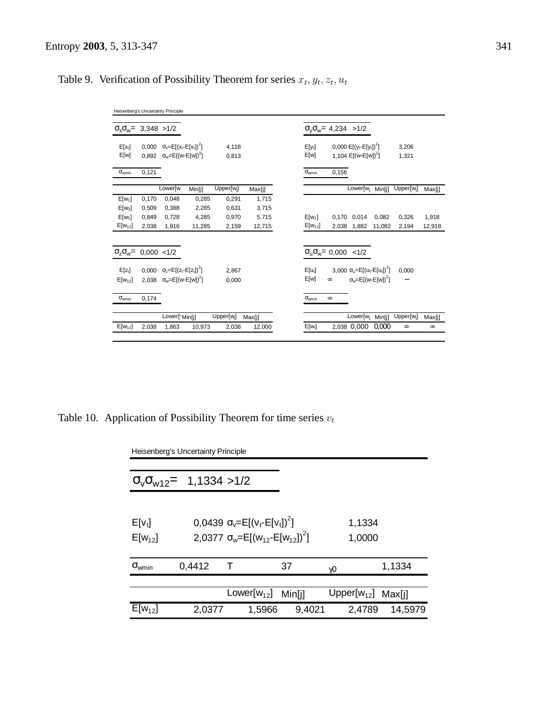|  |  | Table 9. Verification of Possibility Theorem for series $x_t, y_t, z_t, u_t$ |  |  |  |  |  |
|--|--|------------------------------------------------------------------------------|--|--|--|--|--|
|--|--|------------------------------------------------------------------------------|--|--|--|--|--|

|                                     |       | relation go oncertainty i implies  |        |              |        |                 |                                              |                                          |        |              |          |
|-------------------------------------|-------|------------------------------------|--------|--------------|--------|-----------------|----------------------------------------------|------------------------------------------|--------|--------------|----------|
| $\sigma_x \sigma_w = 3,348 > 1/2$   |       |                                    |        |              |        |                 | $\sigma_{\rm y}\sigma_{\rm w}$ = 4,234 > 1/2 |                                          |        |              |          |
| $E[x_t]$                            | 0.000 | $\sigma_{x} = E[(x_t - E[x_t])^2]$ |        | 4,118        |        | $E[y_t]$        |                                              | 0,000 $E[(y_t-E[y_t])^2]$                |        | 3,206        |          |
| E[w]                                |       | 0,892 $\sigma_w = E[(w-E[w])^2]$   |        | 0,813        |        | E[w]            |                                              | 1,104 $E[(w-E[w])^2]$                    |        | 1,321        |          |
| $\sigma_{wmin}$                     | 0,121 |                                    |        |              |        | $\sigma_{wmin}$ | 0,156                                        |                                          |        |              |          |
|                                     |       | Lower[w                            | Min[j] | $Upper[w_i]$ | Max[j] |                 |                                              | $Lower[w_i]$                             | Min[j] | $Upper[w_i]$ | Max[j]   |
| $E[w_1]$                            | 0,170 | 0,048                              | 0,285  | 0,291        | 1,715  |                 |                                              |                                          |        |              |          |
| $E[w_3]$                            | 0.509 | 0,388                              | 2,285  | 0,631        | 3,715  |                 |                                              |                                          |        |              |          |
| E[w <sub>5</sub> ]                  | 0,849 | 0,728                              | 4,285  | 0,970        | 5,715  | $E[w_1]$        |                                              | 0,170 0,014                              | 0,082  | 0,326        | 1,918    |
| $E[w_{12}]$                         | 2.038 | 1,916                              | 11,285 | 2,159        | 12,715 | $E[w_{12}]$     | 2,038                                        | 1,882                                    | 11,082 | 2,194        | 12,918   |
|                                     |       |                                    |        |              |        |                 |                                              |                                          |        |              |          |
| $\sigma_z \sigma_w = 0,000 \le 1/2$ |       |                                    |        |              |        |                 | $\sigma_{\rm u}\sigma_{\rm w} = 0.000 < 1/2$ |                                          |        |              |          |
| $E[z_t]$                            | 0.000 | $\sigma_{z} = E[(z_t - E[z_t])^2]$ |        | 2,867        |        | $E[u_t]$        |                                              | 3,000 $\sigma_{u} = E[(u_t - E[u_t])^2]$ |        | 0,000        |          |
| $E[w_{12}]$                         |       | 2,038 $\sigma_w = E[(w-E[w])^2]$   |        | 0,000        |        | E[w]            | $\infty$                                     | $\sigma_w = E[(w-E[w])^2]$               |        | -            |          |
| $\sigma_{wmin}$                     | 0,174 |                                    |        |              |        | $\sigma_{wmin}$ | $\infty$                                     |                                          |        |              |          |
|                                     |       | Lower['Min[j]                      |        | $Upper[w_i]$ | Max[j] |                 |                                              | Lower[w <sub>i</sub>                     | Min[j] | $Upper[w_i]$ | Max[j]   |
| $E[w_{12}]$                         | 2,038 | 1,863                              | 10,973 | 2,038        | 12,000 | $E[w_i]$        |                                              | 2,038 0,000                              | 0,000  | $\infty$     | $\infty$ |

Heisenberg's Uncertainty Principle

Table 10. Application of Possibility Theorem for time series  $v_t$ 

| Heisenberg's Uncertainty Principle |                                                 |                                               |        |                          |         |  |  |  |  |  |  |  |
|------------------------------------|-------------------------------------------------|-----------------------------------------------|--------|--------------------------|---------|--|--|--|--|--|--|--|
|                                    |                                                 |                                               |        |                          |         |  |  |  |  |  |  |  |
|                                    | $\sigma_{\rm v}\sigma_{\rm w12}$ = 1,1334 > 1/2 |                                               |        |                          |         |  |  |  |  |  |  |  |
|                                    |                                                 |                                               |        |                          |         |  |  |  |  |  |  |  |
| $E[v_t]$                           |                                                 | 0,0439 $\sigma_v = E[(v_t - E[v_t])^2]$       | 1,1334 |                          |         |  |  |  |  |  |  |  |
| $E[w_{12}]$                        |                                                 | 2,0377 $\sigma_w = E[(w_{12} - E[w_{12}])^2]$ |        | 1,0000                   |         |  |  |  |  |  |  |  |
| $\sigma_{wmin}$                    | 0,4412                                          | Τ                                             | 37     | $\gamma$ <sup>0</sup>    | 1,1334  |  |  |  |  |  |  |  |
|                                    |                                                 |                                               |        |                          |         |  |  |  |  |  |  |  |
|                                    |                                                 | Lower[ $w_{12}$ ]                             | Minlil | Upper[ $w_{12}$ ] Max[j] |         |  |  |  |  |  |  |  |
| $E[w_{12}]$                        | 2,0377                                          | 1,5966                                        | 9,4021 | 2,4789                   | 14,5979 |  |  |  |  |  |  |  |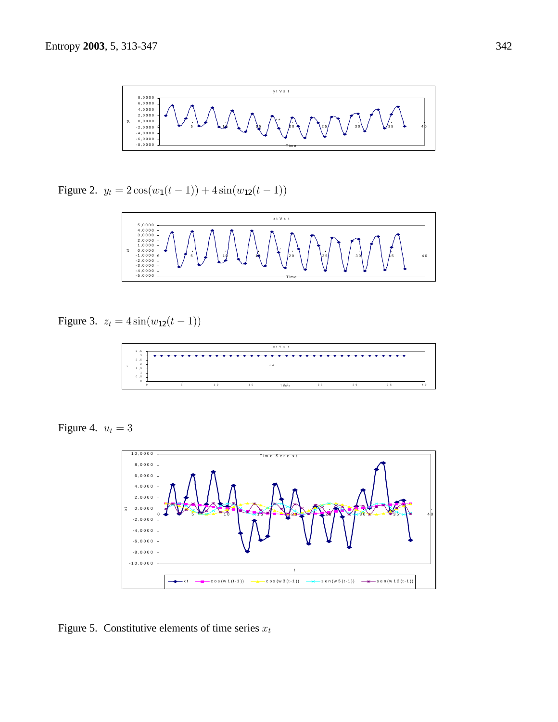

Figure 2.  $y_t = 2\cos(w_1(t-1)) + 4\sin(w_{12}(t-1))$ 



Figure 3.  $z_t = 4 \sin(w_{12}(t-1))$ 



Figure 4.  $u_t = 3$ 



Figure 5. Constitutive elements of time series  $x_t$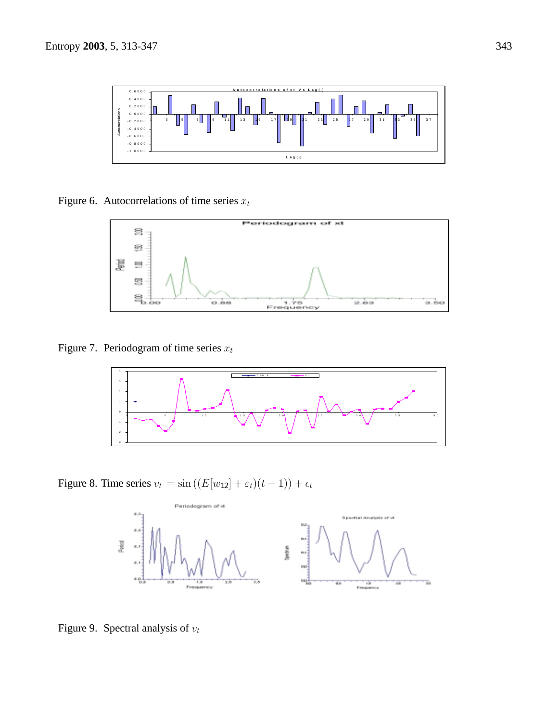

Figure 6. Autocorrelations of time series  $x_t$ 



Figure 7. Periodogram of time series  $x_t$ 



Figure 8. Time series  $v_t = \sin((E[w_{12}] + \varepsilon_t)(t-1)) + \epsilon_t$ 



Figure 9. Spectral analysis of  $v_t$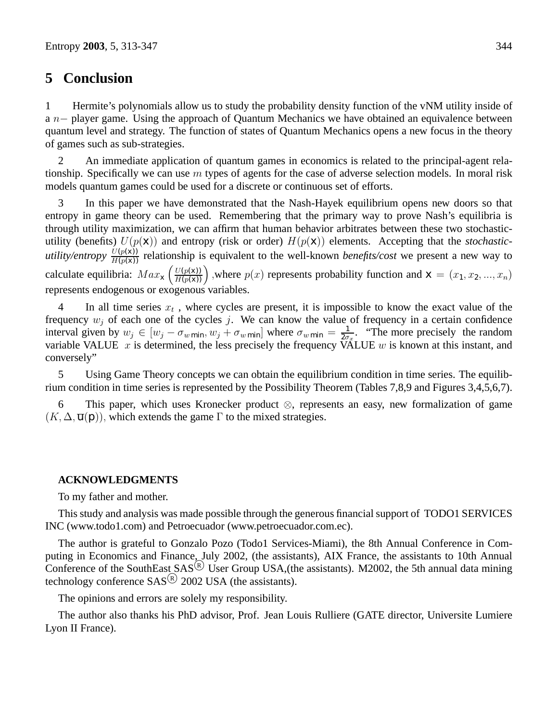# **5 Conclusion**

1 Hermite's polynomials allow us to study the probability density function of the vNM utility inside of a n− player game. Using the approach of Quantum Mechanics we have obtained an equivalence between quantum level and strategy. The function of states of Quantum Mechanics opens a new focus in the theory of games such as sub-strategies.

2 An immediate application of quantum games in economics is related to the principal-agent relationship. Specifically we can use  $m$  types of agents for the case of adverse selection models. In moral risk models quantum games could be used for a discrete or continuous set of efforts.

3 In this paper we have demonstrated that the Nash-Hayek equilibrium opens new doors so that entropy in game theory can be used. Remembering that the primary way to prove Nash's equilibria is through utility maximization, we can affirm that human behavior arbitrates between these two stochasticutility (benefits)  $U(p(x))$  and entropy (risk or order)  $H(p(x))$  elements. Accepting that the *stochastic*utility/entropy  $\frac{U(p(x))}{H(p(x))}$  relationship is equivalent to the well-known *benefits/cost* we present a new way to calculate equilibria:  $Max_x \left( \frac{U(p(x))}{H(p(x))} \right)$ , where  $p(x)$  represents probability function and  $x = (x_1, x_2, ..., x_n)$ represents endogenous or exogenous variables.

4 In all time series  $x_t$ , where cycles are present, it is impossible to know the exact value of the frequency  $w_j$  of each one of the cycles j. We can know the value of frequency in a certain confidence interval given by  $w_j \in [w_j - \sigma_{w \text{min}}, w_j + \sigma_{w \text{min}}]$  where  $\sigma_{w \text{min}} = \frac{1}{2\sigma_x}$ . "The more precisely the random variable VALUE x is determined, the less precisely the frequency VALUE  $w$  is known at this instant, and conversely"

5 Using Game Theory concepts we can obtain the equilibrium condition in time series. The equilibrium condition in time series is represented by the Possibility Theorem (Tables 7,8,9 and Figures 3,4,5,6,7).

6 This paper, which uses Kronecker product ⊗, represents an easy, new formalization of game  $(K, \Delta, \overline{u}(p))$ , which extends the game  $\Gamma$  to the mixed strategies.

## **ACKNOWLEDGMENTS**

To my father and mother.

This study and analysis was made possible through the generous financial support of TODO1 SERVICES INC (www.todo1.com) and Petroecuador (www.petroecuador.com.ec).

The author is grateful to Gonzalo Pozo (Todo1 Services-Miami), the 8th Annual Conference in Computing in Economics and Finance, July 2002, (the assistants), AIX France, the assistants to 10th Annual Conference of the SouthEast  $SAS^{(R)}$  User Group USA, (the assistants). M2002, the 5th annual data mining technology conference  $SAS^{(R)}$  2002 USA (the assistants).

The opinions and errors are solely my responsibility.

The author also thanks his PhD advisor, Prof. Jean Louis Rulliere (GATE director, Universite Lumiere Lyon II France).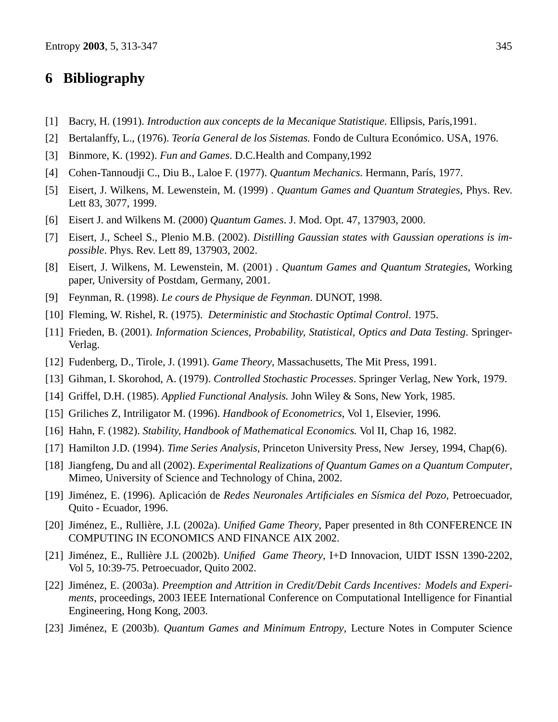# **6 Bibliography**

- [1] Bacry, H. (1991). *Introduction aux concepts de la Mecanique Statistique*. Ellipsis, París,1991.
- [2] Bertalanffy, L., (1976). *Teoría General de los Sistemas.* Fondo de Cultura Económico. USA, 1976.
- [3] Binmore, K. (1992). *Fun and Games*. D.C.Health and Company,1992
- [4] Cohen-Tannoudji C., Diu B., Laloe F. (1977). *Quantum Mechanics*. Hermann, París, 1977.
- [5] Eisert, J. Wilkens, M. Lewenstein, M. (1999) . *Quantum Games and Quantum Strategies*, Phys. Rev. Lett 83, 3077, 1999.
- [6] Eisert J. and Wilkens M. (2000) *Quantum Games*. J. Mod. Opt. 47, 137903, 2000.
- [7] Eisert, J., Scheel S., Plenio M.B. (2002). *Distilling Gaussian states with Gaussian operations is impossible*. Phys. Rev. Lett 89, 137903, 2002.
- [8] Eisert, J. Wilkens, M. Lewenstein, M. (2001) . *Quantum Games and Quantum Strategies*, Working paper, University of Postdam, Germany, 2001.
- [9] Feynman, R. (1998). *Le cours de Physique de Feynman*. DUNOT, 1998.
- [10] Fleming, W. Rishel, R. (1975). *Deterministic and Stochastic Optimal Control*. 1975.
- [11] Frieden, B. (2001). *Information Sciences*, *Probability, Statistical, Optics and Data Testing*. Springer-Verlag.
- [12] Fudenberg, D., Tirole, J. (1991). *Game Theory*, Massachusetts, The Mit Press, 1991.
- [13] Gihman, I. Skorohod, A. (1979). *Controlled Stochastic Processes*. Springer Verlag, New York, 1979.
- [14] Griffel, D.H. (1985). *Applied Functional Analysis.* John Wiley & Sons, New York, 1985.
- [15] Griliches Z, Intriligator M. (1996). *Handbook of Econometrics*, Vol 1, Elsevier, 1996.
- [16] Hahn, F. (1982). *Stability, Handbook of Mathematical Economics.* Vol II, Chap 16, 1982.
- [17] Hamilton J.D. (1994). *Time Series Analysis*, Princeton University Press, New Jersey, 1994, Chap(6).
- [18] Jiangfeng, Du and all (2002). *Experimental Realizations of Quantum Games on a Quantum Computer*, Mimeo, University of Science and Technology of China, 2002.
- [19] Jiménez, E. (1996). Aplicación de *Redes Neuronales Artificiales en Sísmica del Pozo,* Petroecuador, Quito - Ecuador, 1996.
- [20] Jiménez, E., Rullière, J.L (2002a). *Unified Game Theory*, Paper presented in 8th CONFERENCE IN COMPUTING IN ECONOMICS AND FINANCE AIX 2002.
- [21] Jiménez, E., Rullière J.L (2002b). *Unified Game Theory*, I+D Innovacion, UIDT ISSN 1390-2202, Vol 5, 10:39-75. Petroecuador, Quito 2002.
- [22] Jiménez, E. (2003a). *Preemption and Attrition in Credit/Debit Cards Incentives: Models and Experiments*, proceedings, 2003 IEEE International Conference on Computational Intelligence for Finantial Engineering, Hong Kong, 2003.
- [23] Jiménez, E (2003b). *Quantum Games and Minimum Entropy*, Lecture Notes in Computer Science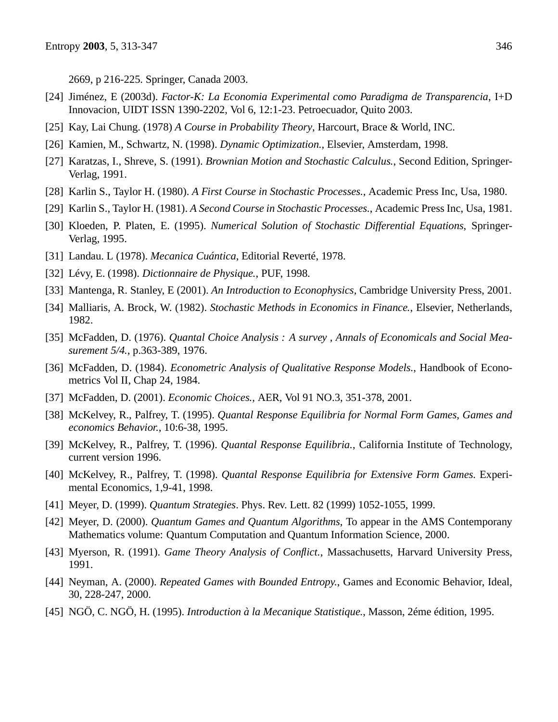2669, p 216-225. Springer, Canada 2003.

- [24] Jiménez, E (2003d). *Factor-K: La Economia Experimental como Paradigma de Transparencia*, I+D Innovacion, UIDT ISSN 1390-2202, Vol 6, 12:1-23. Petroecuador, Quito 2003.
- [25] Kay, Lai Chung. (1978) *A Course in Probability Theory*, Harcourt, Brace & World, INC.
- [26] Kamien, M., Schwartz, N. (1998). *Dynamic Optimization.*, Elsevier, Amsterdam, 1998.
- [27] Karatzas, I., Shreve, S. (1991). *Brownian Motion and Stochastic Calculus.*, Second Edition, Springer-Verlag, 1991.
- [28] Karlin S., Taylor H. (1980). *A First Course in Stochastic Processes.*, Academic Press Inc, Usa, 1980.
- [29] Karlin S., Taylor H. (1981). *A Second Course in Stochastic Processes.*, Academic Press Inc, Usa, 1981.
- [30] Kloeden, P. Platen, E. (1995). *Numerical Solution of Stochastic Differential Equations*, Springer-Verlag, 1995.
- [31] Landau. L (1978). *Mecanica Cuántica*, Editorial Reverté, 1978.
- [32] Lévy, E. (1998). *Dictionnaire de Physique.*, PUF, 1998.
- [33] Mantenga, R. Stanley, E (2001). *An Introduction to Econophysics,* Cambridge University Press, 2001.
- [34] Malliaris, A. Brock, W. (1982). *Stochastic Methods in Economics in Finance.*, Elsevier, Netherlands, 1982.
- [35] McFadden, D. (1976). *Quantal Choice Analysis : A survey , Annals of Economicals and Social Measurement 5/4.*, p.363-389, 1976.
- [36] McFadden, D. (1984). *Econometric Analysis of Qualitative Response Models.*, Handbook of Econometrics Vol II, Chap 24, 1984.
- [37] McFadden, D. (2001). *Economic Choices.*, AER, Vol 91 NO.3, 351-378, 2001.
- [38] McKelvey, R., Palfrey, T. (1995). *Quantal Response Equilibria for Normal Form Games, Games and economics Behavior.*, 10:6-38, 1995.
- [39] McKelvey, R., Palfrey, T. (1996). *Quantal Response Equilibria.*, California Institute of Technology, current version 1996.
- [40] McKelvey, R., Palfrey, T. (1998). *Quantal Response Equilibria for Extensive Form Games.* Experimental Economics, 1,9-41, 1998.
- [41] Meyer, D. (1999). *Quantum Strategies*. Phys. Rev. Lett. 82 (1999) 1052-1055, 1999.
- [42] Meyer, D. (2000). *Quantum Games and Quantum Algorithms*, To appear in the AMS Contemporany Mathematics volume: Quantum Computation and Quantum Information Science, 2000.
- [43] Myerson, R. (1991). *Game Theory Analysis of Conflict.*, Massachusetts, Harvard University Press, 1991.
- [44] Neyman, A. (2000). *Repeated Games with Bounded Entropy.*, Games and Economic Behavior, Ideal, 30, 228-247, 2000.
- [45] NGÖ, C. NGÖ, H. (1995). *Introduction à la Mecanique Statistique.*, Masson, 2éme édition, 1995.